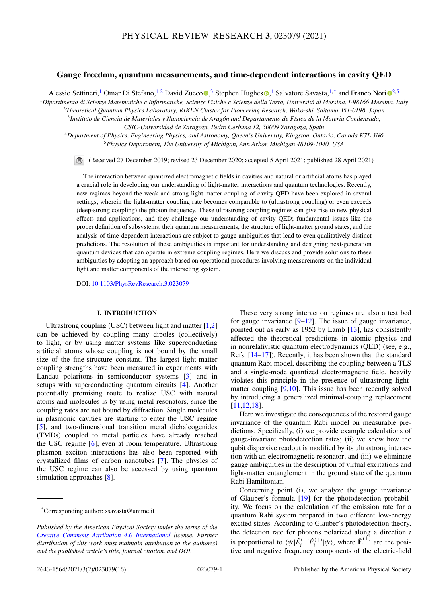# <span id="page-0-0"></span>**Gauge freedom, quantum measurements, and time-dependent interactions in cavity QED**

Alessi[o](https://orcid.org/0000-0003-4478-1948) Settineri,<[s](https://orcid.org/0000-0002-5486-2015)up>1</sup> Omar Di Stefano,<sup>1,[2](https://orcid.org/0000-0003-3682-7432)</sup> David Zueco <sup>6</sup>,<sup>3</sup> Stephen Hughes <sup>6</sup>,<sup>4</sup> Salvatore Savasta,<sup>1,\*</sup> and Franco Nori<sup>62,5</sup>

<sup>1</sup>*Dipartimento di Scienze Matematiche e Informatiche, Scienze Fisiche e Scienze della Terra, Università di Messina, I-98166 Messina, Italy*

<sup>2</sup>*Theoretical Quantum Physics Laboratory, RIKEN Cluster for Pioneering Research, Wako-shi, Saitama 351-0198, Japan*

<sup>3</sup>*Instituto de Ciencia de Materiales y Nanociencia de Aragón and Departamento de Física de la Materia Condensada,*

*CSIC-Universidad de Zaragoza, Pedro Cerbuna 12, 50009 Zaragoza, Spain*

<sup>4</sup>*Department of Physics, Engineering Physics, and Astronomy, Queen's University, Kingston, Ontario, Canada K7L 3N6* <sup>5</sup>*Physics Department, The University of Michigan, Ann Arbor, Michigan 48109-1040, USA*

(Received 27 December 2019; revised 23 December 2020; accepted 5 April 2021; published 28 April 2021)

The interaction between quantized electromagnetic fields in cavities and natural or artificial atoms has played a crucial role in developing our understanding of light-matter interactions and quantum technologies. Recently, new regimes beyond the weak and strong light-matter coupling of cavity-QED have been explored in several settings, wherein the light-matter coupling rate becomes comparable to (ultrastrong coupling) or even exceeds (deep-strong coupling) the photon frequency. These ultrastrong coupling regimes can give rise to new physical effects and applications, and they challenge our understanding of cavity QED; fundamental issues like the proper definition of subsystems, their quantum measurements, the structure of light-matter ground states, and the analysis of time-dependent interactions are subject to gauge ambiguities that lead to even qualitatively distinct predictions. The resolution of these ambiguities is important for understanding and designing next-generation quantum devices that can operate in extreme coupling regimes. Here we discuss and provide solutions to these ambiguities by adopting an approach based on operational procedures involving measurements on the individual light and matter components of the interacting system.

DOI: [10.1103/PhysRevResearch.3.023079](https://doi.org/10.1103/PhysRevResearch.3.023079)

## **I. INTRODUCTION**

Ultrastrong coupling (USC) between light and matter  $[1,2]$ can be achieved by coupling many dipoles (collectively) to light, or by using matter systems like superconducting artificial atoms whose coupling is not bound by the small size of the fine-structure constant. The largest light-matter coupling strengths have been measured in experiments with Landau polaritons in semiconductor systems [\[3\]](#page-13-0) and in setups with superconducting quantum circuits [\[4\]](#page-13-0). Another potentially promising route to realize USC with natural atoms and molecules is by using metal resonators, since the coupling rates are not bound by diffraction. Single molecules in plasmonic cavities are starting to enter the USC regime [\[5\]](#page-13-0), and two-dimensional transition metal dichalcogenides (TMDs) coupled to metal particles have already reached the USC regime [\[6\]](#page-13-0), even at room temperature. Ultrastrong plasmon exciton interactions has also been reported with crystallized films of carbon nanotubes [\[7\]](#page-13-0). The physics of the USC regime can also be accessed by using quantum simulation approaches [\[8\]](#page-13-0).

These very strong interaction regimes are also a test bed for gauge invariance  $[9-12]$ . The issue of gauge invariance, pointed out as early as 1952 by Lamb [\[13\]](#page-13-0), has consistently affected the theoretical predictions in atomic physics and in nonrelativistic quantum electrodynamics (QED) (see, e.g., Refs. [\[14–17\]](#page-13-0)). Recently, it has been shown that the standard quantum Rabi model, describing the coupling between a TLS and a single-mode quantized electromagnetic field, heavily violates this principle in the presence of ultrastrong light-matter coupling [\[9,10\]](#page-13-0). This issue has been recently solved by introducing a generalized minimal-coupling replacement [\[11,12,18\]](#page-13-0).

Here we investigate the consequences of the restored gauge invariance of the quantum Rabi model on measurable predictions. Specifically, (i) we provide example calculations of gauge-invariant photodetection rates; (ii) we show how the qubit dispersive readout is modified by its ultrastrong interaction with an electromagnetic resonator; and (iii) we eliminate gauge ambiguities in the description of virtual excitations and light-matter entanglement in the ground state of the quantum Rabi Hamiltonian.

Concerning point (i), we analyze the gauge invariance of Glauber's formula [\[19\]](#page-13-0) for the photodetection probability. We focus on the calculation of the emission rate for a quantum Rabi system prepared in two different low-energy excited states. According to Glauber's photodetection theory, the detection rate for photons polarized along a direction *i* is proportional to  $\langle \psi | \hat{E}_i^{(-)} \hat{E}_i^{(+)} | \psi \rangle$ , where  $\hat{E}^{(\pm)}$  are the positive and negative frequency components of the electric-field

<sup>\*</sup>Corresponding author: ssavasta@unime.it

*Published by the American Physical Society under the terms of the [Creative Commons Attribution 4.0 International](https://creativecommons.org/licenses/by/4.0/) license. Further distribution of this work must maintain attribution to the author(s) and the published article's title, journal citation, and DOI.*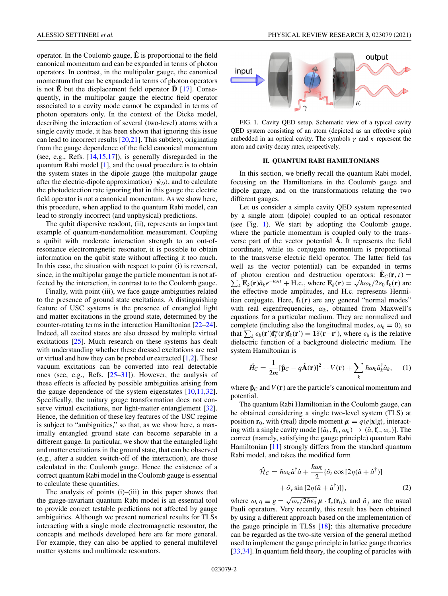<span id="page-1-0"></span>operator. In the Coulomb gauge, **E**ˆ is proportional to the field canonical momentum and can be expanded in terms of photon operators. In contrast, in the multipolar gauge, the canonical momentum that can be expanded in terms of photon operators is not  $\hat{E}$  but the displacement field operator  $\hat{D}$  [\[17\]](#page-13-0). Consequently, in the multipolar gauge the electric field operator associated to a cavity mode cannot be expanded in terms of photon operators only. In the context of the Dicke model, describing the interaction of several (two-level) atoms with a single cavity mode, it has been shown that ignoring this issue can lead to incorrect results [\[20,21\]](#page-13-0). This subtlety, originating from the gauge dependence of the field canonical momentum (see, e.g., Refs. [\[14,15,17\]](#page-13-0)), is generally disregarded in the quantum Rabi model [\[1\]](#page-13-0), and the usual procedure is to obtain the system states in the dipole gauge (the multipolar gauge after the electric-dipole approximation)  $|\psi_D\rangle$ , and to calculate the photodetection rate ignoring that in this gauge the electric field operator is not a canonical momentum. As we show here, this procedure, when applied to the quantum Rabi model, can lead to strongly incorrect (and unphysical) predictions.

The qubit dispersive readout, (ii), represents an important example of quantum-nondemolition measurement. Coupling a quibit with moderate interaction strength to an out-ofresonance electromagnetic resonator, it is possible to obtain information on the qubit state without affecting it too much. In this case, the situation with respect to point (i) is reversed, since, in the multipolar gauge the particle momentum is not affected by the interaction, in contrast to to the Coulomb gauge.

Finally, with point (iii), we face gauge ambiguities related to the presence of ground state excitations. A distinguishing feature of USC systems is the presence of entangled light and matter excitations in the ground state, determined by the counter-rotating terms in the interaction Hamiltonian [\[22–24\]](#page-14-0). Indeed, all excited states are also dressed by multiple virtual excitations [\[25\]](#page-14-0). Much research on these systems has dealt with understanding whether these dressed excitations are real or virtual and how they can be probed or extracted [\[1,2\]](#page-13-0). These vacuum excitations can be converted into real detectable ones (see, e.g., Refs. [\[25–31\]](#page-14-0)). However, the analysis of these effects is affected by possible ambiguities arising from the gauge dependence of the system eigenstates  $[10,11,32]$  $[10,11,32]$ . Specifically, the unitary gauge transformation does not con-serve virtual excitations, nor light-matter entanglement [\[32\]](#page-14-0). Hence, the definition of these key features of the USC regime is subject to "ambiguities," so that, as we show here, a maximally entangled ground state can become separable in a different gauge. In particular, we show that the entangled light and matter excitations in the ground state, that can be observed (e.g., after a sudden switch-off of the interaction), are those calculated in the Coulomb gauge. Hence the existence of a correct quantum Rabi model in the Coulomb gauge is essential to calculate these quantities.

The analysis of points (i)–(iii) in this paper shows that the gauge-invariant quantum Rabi model is an essential tool to provide correct testable predictions not affected by gauge ambiguities. Although we present numerical results for TLSs interacting with a single mode electromagnetic resonator, the concepts and methods developed here are far more general. For example, they can also be applied to general multilevel matter systems and multimode resonators.



FIG. 1. Cavity QED setup. Schematic view of a typical cavity QED system consisting of an atom (depicted as an effective spin) embedded in an optical cavity. The symbols  $\gamma$  and  $\kappa$  represent the atom and cavity decay rates, respectively.

#### **II. QUANTUM RABI HAMILTONIANS**

In this section, we briefly recall the quantum Rabi model, focusing on the Hamiltonians in the Coulomb gauge and dipole gauge, and on the transformations relating the two different gauges.

Let us consider a simple cavity QED system represented by a single atom (dipole) coupled to an optical resonator (see Fig. 1). We start by adopting the Coulomb gauge, where the particle momentum is coupled only to the transverse part of the vector potential **A**. It represents the field coordinate, while its conjugate momentum is proportional to the transverse electric field operator. The latter field (as well as the vector potential) can be expanded in terms of photon creation and destruction operators:  $\hat{\mathbf{E}}_C(\mathbf{r},t) =$  $\sum$ photon creation and destruction operators:  $\mathbf{E}_c(\mathbf{r}, t) = k \mathbf{E}_k(\mathbf{r}) \hat{a}_k e^{-i\omega_k t} + \text{H.c., where } \mathbf{E}_k(\mathbf{r}) = \sqrt{\hbar \omega_k/2 \varepsilon_0} \mathbf{f}_k(\mathbf{r})$  are the effective mode amplitudes, and H.c. represents Hermitian conjugate. Here,  $f_k(r)$  are any general "normal modes" with real eigenfrequencies,  $\omega_k$ , obtained from Maxwell's equations for a particular medium. They are normalized and complete (including also the longitudinal modes,  $\omega_k = 0$ ), so that  $\sum_{k} \epsilon_b(\mathbf{r}') \mathbf{f}_k^*(\mathbf{r}) \mathbf{f}_k(\mathbf{r}') = \mathbf{1}\delta(\mathbf{r}-\mathbf{r}')$ , where  $\epsilon_b$  is the relative dielectric function of a background dielectric medium. The system Hamiltonian is

$$
\hat{H}_C = \frac{1}{2m} [\hat{\mathbf{p}}_C - q\hat{\mathbf{A}}(\mathbf{r})]^2 + V(\mathbf{r}) + \sum_k \hbar \omega_k \hat{a}_k^\dagger \hat{a}_k, \quad (1)
$$

where  $\hat{\mathbf{p}}_C$  and  $V(\mathbf{r})$  are the particle's canonical momentum and potential.

The quantum Rabi Hamiltonian in the Coulomb gauge, can be obtained considering a single two-level system (TLS) at position **r**<sub>0</sub>, with (real) dipole moment  $\mu = q \langle e | \mathbf{x} | g \rangle$ , interacting with a single cavity mode  $[(\hat{a}_k, \mathbf{f}_k, \omega_k) \rightarrow (\hat{a}, \mathbf{f}_c, \omega_c)]$ . The correct (namely, satisfying the gauge principle) quantum Rabi Hamiltonian [\[11\]](#page-13-0) strongly differs from the standard quantum Rabi model, and takes the modified form

$$
\hat{\mathcal{H}}_C = \hbar \omega_c \hat{a}^\dagger \hat{a} + \frac{\hbar \omega_0}{2} \{ \hat{\sigma}_z \cos \left[ 2\eta (\hat{a} + \hat{a}^\dagger) \right] + \hat{\sigma}_y \sin \left[ 2\eta (\hat{a} + \hat{a}^\dagger) \right] \},\tag{2}
$$

where  $\omega_c \eta \equiv g = \sqrt{\omega_c/2\hbar\epsilon_0} \mu \cdot \mathbf{f}_c(\mathbf{r}_0)$ , and  $\hat{\sigma}_j$  are the usual Pauli operators. Very recently, this result has been obtained by using a different approach based on the implementation of the gauge principle in TLSs [\[18\]](#page-13-0); this alternative procedure can be regarded as the two-site version of the general method used to implement the gauge principle in lattice gauge theories [\[33,34\]](#page-14-0). In quantum field theory, the coupling of particles with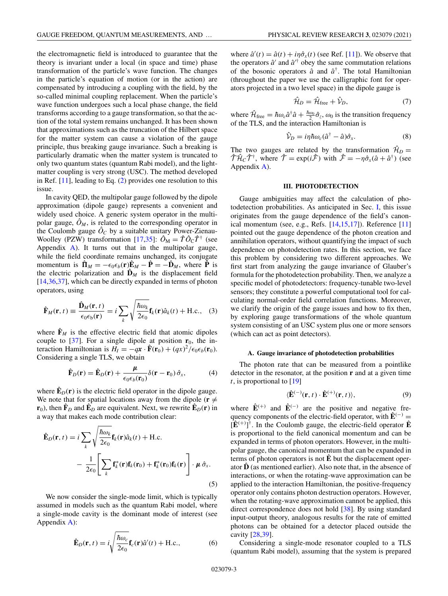<span id="page-2-0"></span>the electromagnetic field is introduced to guarantee that the theory is invariant under a local (in space and time) phase transformation of the particle's wave function. The changes in the particle's equation of motion (or in the action) are compensated by introducing a coupling with the field, by the so-called minimal coupling replacement. When the particle's wave function undergoes such a local phase change, the field transforms according to a gauge transformation, so that the action of the total system remains unchanged. It has been shown that approximations such as the truncation of the Hilbert space for the matter system can cause a violation of the gauge principle, thus breaking gauge invariance. Such a breaking is particularly dramatic when the matter system is truncated to only two quantum states (quantum Rabi model), and the lightmatter coupling is very strong (USC). The method developed in Ref. [\[11\]](#page-13-0), leading to Eq. [\(2\)](#page-1-0) provides one resolution to this issue.

In cavity QED, the multipolar gauge followed by the dipole approximation (dipole gauge) represents a convenient and widely used choice. A generic system operator in the multipolar gauge,  $\hat{O}_M$ , is related to the corresponding operator in the Coulomb gauge  $\hat{O}_C$  by a suitable unitary Power-Zienau-Woolley (PZW) transformation [\[17](#page-13-0)[,35\]](#page-14-0):  $\hat{O}_{\rm M} = \hat{T} \hat{O}_{\rm C} \hat{T}^{\dagger}$  (see Appendix [A\)](#page-8-0). It turns out that in the multipolar gauge, while the field coordinate remains unchanged, its conjugate momentum is  $\hat{\Pi}_M = -\epsilon_0 \epsilon_b(\mathbf{r}) \hat{\mathbf{E}}_M - \hat{\mathbf{P}} = -\hat{\mathbf{D}}_M$ , where  $\check{\mathbf{P}}$  is the electric polarization and  $\hat{\mathbf{D}}_M$  is the displacement field [\[14](#page-13-0)[,36,37\]](#page-14-0), which can be directly expanded in terms of photon operators, using

$$
\hat{\mathbf{F}}_M(\mathbf{r},t) \equiv \frac{\hat{\mathbf{D}}_M(\mathbf{r},t)}{\epsilon_0 \epsilon_b(\mathbf{r})} = i \sum_k \sqrt{\frac{\hbar \omega_k}{2\epsilon_0}} \mathbf{f}_k(\mathbf{r}) \hat{a}_k(t) + \text{H.c.,}
$$
 (3)

where  $\hat{F}_M$  is the effective electric field that atomic dipoles couple to  $[37]$ . For a single dipole at position  $r_0$ , the interaction Hamiltonian is  $H_I = -qx \cdot \hat{\mathbf{F}}(\mathbf{r}_0) + (qx)^2/\epsilon_0 \epsilon_b(\mathbf{r}_0)$ . Considering a single TLS, we obtain

$$
\hat{\mathbf{F}}_D(\mathbf{r}) = \hat{\mathbf{E}}_D(\mathbf{r}) + \frac{\mu}{\epsilon_0 \epsilon_b(\mathbf{r}_0)} \delta(\mathbf{r} - \mathbf{r}_0) \hat{\sigma}_x, \tag{4}
$$

where  $\hat{\mathbf{E}}_D(\mathbf{r})$  is the electric field operator in the dipole gauge. We note that for spatial locations away from the dipole ( $\mathbf{r} \neq$ **r**<sub>0</sub>), then  $\mathbf{\hat{F}}_D$  and  $\mathbf{\hat{E}}_D$  are equivalent. Next, we rewrite  $\mathbf{\hat{E}}_D(\mathbf{r})$  in a way that makes each mode contribution clear:

$$
\hat{\mathbf{E}}_{D}(\mathbf{r},t) = i \sum_{k} \sqrt{\frac{\hbar \omega_{k}}{2\epsilon_{0}}} \mathbf{f}_{k}(\mathbf{r}) \hat{a}_{k}(t) + \text{H.c.} \n- \frac{1}{2\epsilon_{0}} \Bigg[ \sum_{k} \mathbf{f}_{k}^{*}(\mathbf{r}) \mathbf{f}_{k}(\mathbf{r}_{0}) + \mathbf{f}_{k}^{*}(\mathbf{r}_{0}) \mathbf{f}_{k}(\mathbf{r}) \Bigg] \cdot \boldsymbol{\mu} \, \hat{\sigma}_{x}.
$$
\n(5)

We now consider the single-mode limit, which is typically assumed in models such as the quantum Rabi model, where a single-mode cavity is the dominant mode of interest (see Appendix [A\)](#page-8-0):

$$
\hat{\mathbf{E}}_D(\mathbf{r},t) = i \sqrt{\frac{\hbar \omega_c}{2\epsilon_0}} \mathbf{f}_c(\mathbf{r}) \hat{a}'(t) + \text{H.c.},
$$
\n(6)

where  $\hat{a}'(t) = \hat{a}(t) + i\eta \hat{\sigma}_x(t)$  (see Ref. [\[11\]](#page-13-0)). We observe that the operators  $\hat{a}'$  and  $\hat{a}^{\prime\dagger}$  obey the same commutation relations of the bosonic operators  $\hat{a}$  and  $\hat{a}^{\dagger}$ . The total Hamiltonian (throughout the paper we use the calligraphic font for operators projected in a two level space) in the dipole gauge is

$$
\hat{\mathcal{H}}_D = \hat{\mathcal{H}}_{\text{free}} + \hat{\mathcal{V}}_D,\tag{7}
$$

where  $\hat{\mathcal{H}}_{\text{free}} = \hbar \omega_c \hat{a}^\dagger \hat{a} + \frac{\hbar \omega_0}{2} \hat{\sigma}_z$ ,  $\omega_0$  is the transition frequency of the TLS, and the interaction Hamiltonian is

$$
\hat{\mathcal{V}}_D = i\eta \hbar \omega_c (\hat{a}^\dagger - \hat{a}) \hat{\sigma}_x. \tag{8}
$$

The two gauges are related by the transformation  $\hat{\mathcal{H}}_D =$  $\hat{\mathcal{T}} \hat{\mathcal{H}}_C \hat{\mathcal{T}}^{\dagger}$ , where  $\hat{\mathcal{T}} = \exp(i\hat{\mathcal{F}})$  with  $\hat{\mathcal{F}} = -\eta \hat{\sigma}_x (\hat{a} + \hat{a}^{\dagger})$  (see Appendix [A\)](#page-8-0).

#### **III. PHOTODETECTION**

Gauge ambiguities may affect the calculation of photodetection probabilities. As anticipated in Sec. [I,](#page-0-0) this issue originates from the gauge dependence of the field's canonical momentum (see, e.g., Refs.  $[14,15,17]$ ). Reference  $[11]$ pointed out the gauge dependence of the photon creation and annihilation operators, without quantifying the impact of such dependence on photodetection rates. In this section, we face this problem by considering two different approaches. We first start from analyzing the gauge invariance of Glauber's formula for the photodetection probability. Then, we analyze a specific model of photodetectors: frequency-tunable two-level sensors; they constitute a powerful computational tool for calculating normal-order field correlation functions. Moreover, we clarify the origin of the gauge issues and how to fix then, by exploring gauge transformations of the whole quantum system consisting of an USC system plus one or more sensors (which can act as point detectors).

#### **A. Gauge invariance of photodetection probabilities**

The photon rate that can be measured from a pointlike detector in the resonator, at the position **r** and at a given time *t*, is proportional to [\[19\]](#page-13-0)

$$
\langle \hat{\mathbf{E}}^{(-)}(\mathbf{r},t) \cdot \hat{\mathbf{E}}^{(+)}(\mathbf{r},t) \rangle, \tag{9}
$$

where  $\hat{\mathbf{E}}^{(+)}$  and  $\hat{\mathbf{E}}^{(-)}$  are the positive and negative frequency components of the electric-field operator, with  $\hat{E}^{(-)}$  =  $[\hat{\mathbf{E}}^{(+)}]$ <sup>†</sup>. In the Coulomb gauge, the electric-field operator  $\hat{\mathbf{E}}$ is proportional to the field canonical momentum and can be expanded in terms of photon operators. However, in the multipolar gauge, the canonical momentum that can be expanded in terms of photon operators is not  $\hat{E}$  but the displacement operator  $\hat{\mathbf{D}}$  (as mentioned earlier). Also note that, in the absence of interactions, or when the rotating-wave approximation can be applied to the interaction Hamiltonian, the positive-frequency operator only contains photon destruction operators. However, when the rotating-wave approximation cannot be applied, this direct correspondence does not hold [\[38\]](#page-14-0). By using standard input-output theory, analogous results for the rate of emitted photons can be obtained for a detector placed outside the cavity [\[28,39\]](#page-14-0).

Considering a single-mode resonator coupled to a TLS (quantum Rabi model), assuming that the system is prepared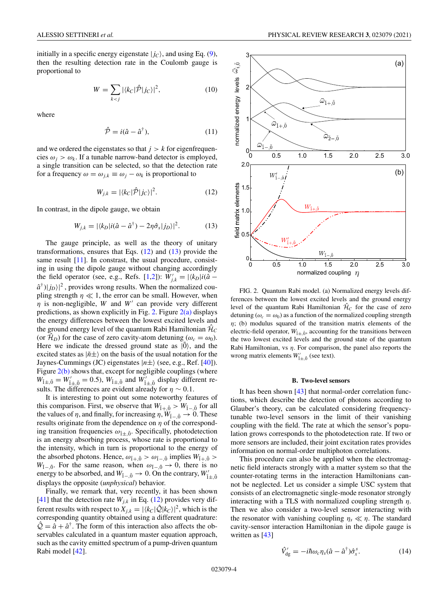<span id="page-3-0"></span>initially in a specific energy eigenstate  $|j_c\rangle$ , and using Eq. [\(9\)](#page-2-0), then the resulting detection rate in the Coulomb gauge is proportional to

$$
W = \sum_{k < j} |\langle k_c | \hat{\mathcal{P}} | j_c \rangle|^2,\tag{10}
$$

where

$$
\hat{\mathcal{P}} = i(\hat{a} - \hat{a}^{\dagger}), \tag{11}
$$

and we ordered the eigenstates so that  $j > k$  for eigenfrequencies  $\omega_i > \omega_k$ . If a tunable narrow-band detector is employed, a single transition can be selected, so that the detection rate for a frequency  $\omega = \omega_{j,k} \equiv \omega_j - \omega_k$  is proportional to

$$
W_{j,k} = |\langle k_C | \hat{\mathcal{P}} | j_C \rangle|^2. \tag{12}
$$

In contrast, in the dipole gauge, we obtain

$$
W_{j,k} = |\langle k_D | i(\hat{a} - \hat{a}^\dagger) - 2\eta \hat{\sigma}_x | j_D \rangle|^2. \tag{13}
$$

The gauge principle, as well as the theory of unitary transformations, ensures that Eqs.  $(12)$  and  $(13)$  provide the same result [\[11\]](#page-13-0). In constrast, the usual procedure, consisting in using the dipole gauge without changing accordingly the field operator (see, e.g., Refs. [\[1,2\]](#page-13-0)):  $W'_{j,k} = |\langle k_D | i(\hat{a} - \hat{b})|$  $\hat{a}^{\dagger}$  $|j_D\rangle|^2$ , provides wrong results. When the normalized coupling strength  $\eta \ll 1$ , the error can be small. However, when  $\eta$  is non-negligible, *W* and *W'* can provide very different predictions, as shown explicitly in Fig. 2. Figure  $2(a)$  displays the energy differences between the lowest excited levels and the ground energy level of the quantum Rabi Hamiltonian  $H_C$ (or  $\hat{\mathcal{H}}_D$ ) for the case of zero cavity-atom detuning ( $\omega_c = \omega_0$ ). Here we indicate the dressed ground state as  $|0\rangle$ , and the excited states as  $|\tilde{n}\pm\rangle$  on the basis of the usual notation for the Jaynes-Cummings (JC) eigenstates  $|n\pm\rangle$  (see, e.g., Ref. [\[40\]](#page-14-0)). Figure  $2(b)$  shows that, except for negligible couplings (where  $W_{1\pm,0} = W'_{1\pm,0} = 0.5$ ,  $W_{1\pm,0}$  and  $W'_{1\pm,0}$  display different results. The differences are evident already for  $\eta \sim 0.1$ .

It is interesting to point out some noteworthy features of this comparison. First, we observe that  $W_{\tilde{l}+\tilde{0}} > W_{\tilde{l}-\tilde{0}}$  for all the values of  $\eta$ , and finally, for increasing  $\eta$ ,  $W_{\tilde{I}-,\tilde{0}} \to 0$ . These results originate from the dependence on  $\eta$  of the corresponding transition frequencies  $\omega_{\tilde{l}\pm,\tilde{0}}$ . Specifically, photodetection is an energy absorbing process, whose rate is proportional to the intensity, which in turn is proportional to the energy of the absorbed photons. Hence,  $\omega_{\tilde{I}+\tilde{0}} > \omega_{\tilde{I}-\tilde{0}}$  implies  $W_{\tilde{I}+\tilde{0}} >$ *W*<sub>1</sub><sup>−</sup>,0<sup>*m*</sup>. For the same reason, when  $\omega_{1-\overline{0}} \rightarrow 0$ , there is no energy to be absorbed, and  $W_{\tilde{1}-,\tilde{0}} \to 0$ . On the contrary,  $W'_{\tilde{1}\pm,\tilde{0}}$ displays the opposite (*unphysical*) behavior.

Finally, we remark that, very recently, it has been shown [\[41\]](#page-14-0) that the detection rate  $W_{i,k}$  in Eq. (12) provides very different results with respect to  $X_{j,k} = |\langle k_C | \hat{Q} | k_C \rangle|^2$ , which is the corresponding quantity obtained using a different quadrature:  $\hat{Q} = \hat{a} + \hat{a}^{\dagger}$ . The form of this interaction also affects the observables calculated in a quantum master equation approach, such as the cavity emitted spectrum of a pump-driven quantum Rabi model [\[42\]](#page-14-0).



FIG. 2. Quantum Rabi model. (a) Normalized energy levels differences between the lowest excited levels and the ground energy level of the quantum Rabi Hamiltonian  $\hat{H}_C$  for the case of zero detuning  $(\omega_c = \omega_0)$  as a function of the normalized coupling strength  $\eta$ ; (b) modulus squared of the transition matrix elements of the electric-field operator,  $W_{\tilde{l}\pm\tilde{0}}$ , accounting for the transitions between the two lowest excited levels and the ground state of the quantum Rabi Hamiltonian, vs  $\eta$ . For comparison, the panel also reports the wrong matrix elements  $W'_{\tilde{l}\pm,\tilde{0}}$  (see text).

### **B. Two-level sensors**

It has been shown [\[43\]](#page-14-0) that normal-order correlation functions, which describe the detection of photons according to Glauber's theory, can be calculated considering frequencytunable two-level sensors in the limit of their vanishing coupling with the field. The rate at which the sensor's population grows corresponds to the photodetection rate. If two or more sensors are included, their joint excitation rates provides information on normal-order multiphoton correlations.

This procedure can also be applied when the electromagnetic field interacts strongly with a matter system so that the counter-rotating terms in the interaction Hamiltonians cannot be neglected. Let us consider a simple USC system that consists of an electromagnetic single-mode resonator strongly interacting with a TLS with normalized coupling strength  $\eta$ . Then we also consider a two-level sensor interacting with the resonator with vanishing coupling  $\eta_s \ll \eta$ . The standard cavity-sensor interaction Hamiltonian in the dipole gauge is written as [\[43\]](#page-14-0)

$$
\hat{V}_{\rm dg}^{\prime} = -i\hbar\omega_c \eta_s (\hat{a} - \hat{a}^{\dagger}) \hat{\sigma}_x^s. \tag{14}
$$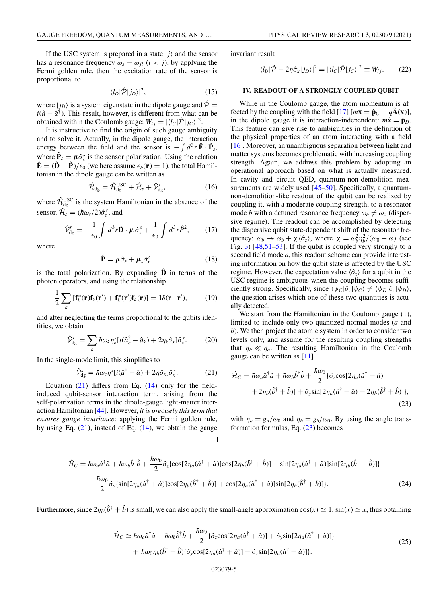<span id="page-4-0"></span>If the USC system is prepared in a state  $|j\rangle$  and the sensor has a resonance frequency  $\omega_s = \omega_{il}$  (*l* < *j*), by applying the Fermi golden rule, then the excitation rate of the sensor is proportional to

$$
|\langle l_D|\hat{\mathcal{P}}|j_D\rangle|^2,\tag{15}
$$

where  $|j_D\rangle$  is a system eigenstate in the dipole gauge and  $\hat{\mathcal{P}} =$  $i(\hat{a} - \hat{a}^{\dagger})$ . This result, however, is different from what can be obtained within the Coulomb gauge:  $W_{lj} = |\langle l_C | \hat{\mathcal{P}} | j_C \rangle|^2$ .

It is instructive to find the origin of such gauge ambiguity and to solve it. Actually, in the dipole gauge, the interaction energy between the field and the sensor is  $-\int d^3r \,\hat{\mathbf{E}} \cdot \hat{\mathbf{P}}_s$ , where  $\hat{\mathbf{P}}_s = \boldsymbol{\mu} \hat{\sigma}_x^s$  is the sensor polarization. Using the relation  $\hat{\mathbf{E}} = (\hat{\mathbf{D}} - \hat{\mathbf{P}})/\epsilon_0$  (we here assume  $\epsilon_b(\mathbf{r}) = 1$ ), the total Hamiltonian in the dipole gauge can be written as

$$
\hat{\mathcal{H}}_{\rm dg} = \hat{\mathcal{H}}_{\rm dg}^{\rm USC} + \hat{\mathcal{H}}_s + \hat{\mathcal{V}}_{\rm dg}^s,\tag{16}
$$

where  $\hat{\mathcal{H}}_{\text{dg}}^{\text{USC}}$  is the system Hamiltonian in the absence of the sensor,  $\hat{\mathcal{H}}_s = (\hbar \omega_s/2) \hat{\sigma}_z^s$ , and

$$
\hat{\mathcal{V}}_{\text{dg}}^s = -\frac{1}{\epsilon_0} \int d^3 r \hat{\mathbf{D}} \cdot \boldsymbol{\mu} \, \hat{\sigma}_x^s + \frac{1}{\epsilon_0} \int d^3 r \hat{\mathcal{P}}^2, \qquad (17)
$$

where

$$
\hat{\mathbf{P}} = \boldsymbol{\mu} \hat{\sigma}_x + \boldsymbol{\mu}_s \hat{\sigma}_x^s, \tag{18}
$$

is the total polarization. By expanding  $\hat{\mathbf{D}}$  in terms of the photon operators, and using the relationship

$$
\frac{1}{2}\sum_{k} \left[\mathbf{f}_{k}^{*}(\mathbf{r})\mathbf{f}_{k}(\mathbf{r}') + \mathbf{f}_{k}^{*}(\mathbf{r}')\mathbf{f}_{k}(\mathbf{r})\right] = \mathbf{1}\delta(\mathbf{r} - \mathbf{r}'),\tag{19}
$$

and after neglecting the terms proportional to the qubits identities, we obtain

$$
\hat{\mathcal{V}}_{dg}^{s} = \sum_{k} \hbar \omega_{k} \eta_{k}^{s} [i(\hat{a}_{k}^{\dagger} - \hat{a}_{k}) + 2 \eta_{k} \hat{\sigma}_{x}] \hat{\sigma}_{x}^{s}.
$$
 (20)

In the single-mode limit, this simplifies to

$$
\hat{\mathcal{V}}_{dg}^{s} = \hbar \omega_c \eta^{s} [i(\hat{a}^{\dagger} - \hat{a}) + 2\eta \hat{\sigma}_x] \hat{\sigma}_x^{s}.
$$
 (21)

Equation  $(21)$  differs from Eq.  $(14)$  only for the fieldinduced qubit-sensor interaction term, arising from the self-polarization terms in the dipole-gauge light-matter interaction Hamiltonian [\[44\]](#page-14-0). However, *it is precisely this term that ensures gauge invariance*: applying the Fermi golden rule, by using Eq.  $(21)$ , instead of Eq.  $(14)$ , we obtain the gauge

invariant result

$$
|\langle l_D|\hat{\mathcal{P}} - 2\eta \hat{\sigma}_x|j_D\rangle|^2 = |\langle l_C|\hat{\mathcal{P}}|j_C\rangle|^2 \equiv W_{lj}.
$$
 (22)

### **IV. READOUT OF A STRONGLY COUPLED QUBIT**

While in the Coulomb gauge, the atom momentum is af-fected by the coupling with the field [\[17\]](#page-13-0)  $[m\dot{x} = \hat{p}_C - q\hat{A}(x)],$ in the dipole gauge it is interaction-independent:  $m\dot{x} = \hat{p}_D$ . This feature can give rise to ambiguities in the definition of the physical properties of an atom interacting with a field [\[16\]](#page-13-0). Moreover, an unambiguous separation between light and matter systems becomes problematic with increasing coupling strength. Again, we address this problem by adopting an operational approach based on what is actually measured. In cavity and circuit QED, quantum-non-demolition mea-surements are widely used [\[45–50\]](#page-14-0). Specifically, a quantumnon-demolition-like readout of the qubit can be realized by coupling it, with a moderate coupling strength, to a resonator mode *b* with a detuned resonance frequency  $\omega_b \neq \omega_0$  (dispersive regime). The readout can be accomplished by detecting the dispersive qubit state-dependent shift of the resonator frequency:  $\omega_b \to \omega_b + \chi \langle \hat{\sigma}_z \rangle$ , where  $\chi = \omega_b^2 \eta_b^2 / (\omega_0 - \omega)$  (see Fig. [3\)](#page-5-0) [\[48,51–53\]](#page-14-0). If the qubit is coupled very strongly to a second field mode *a*, this readout scheme can provide interesting information on how the qubit state is affected by the USC regime. However, the expectation value  $\langle \hat{\sigma}_z \rangle$  for a qubit in the USC regime is ambiguous when the coupling becomes sufficiently strong. Specifically, since  $\langle \psi_C | \hat{\sigma}_z | \psi_C \rangle \neq \langle \psi_D | \hat{\sigma}_z | \psi_D \rangle$ , the question arises which one of these two quantities is actually detected.

We start from the Hamiltonian in the Coulomb gauge [\(1\)](#page-1-0), limited to include only two quantized normal modes (*a* and *b*). We then project the atomic system in order to consider two levels only, and assume for the resulting coupling strengths that  $\eta_b \ll \eta_a$ . The resulting Hamiltonian in the Coulomb gauge can be written as [\[11\]](#page-13-0)

$$
\hat{\mathcal{H}}_C = \hbar \omega_a \hat{a}^\dagger \hat{a} + \hbar \omega_b \hat{b}^\dagger \hat{b} + \frac{\hbar \omega_0}{2} \{ \hat{\sigma}_z \cos[2\eta_a(\hat{a}^\dagger + \hat{a}) + 2\eta_b(\hat{b}^\dagger + \hat{b})] + \hat{\sigma}_y \sin[2\eta_a(\hat{a}^\dagger + \hat{a}) + 2\eta_b(\hat{b}^\dagger + \hat{b})] \},\tag{23}
$$

with  $\eta_a = g_a/\omega_0$  and  $\eta_b = g_b/\omega_0$ . By using the angle transformation formulas, Eq. (23) becomes

$$
\hat{\mathcal{H}}_C = \hbar\omega_a \hat{a}^\dagger \hat{a} + \hbar\omega_b \hat{b}^\dagger \hat{b} + \frac{\hbar\omega_0}{2} \hat{\sigma}_z \{ \cos[2\eta_a(\hat{a}^\dagger + \hat{a})] \cos[2\eta_b(\hat{b}^\dagger + \hat{b})] - \sin[2\eta_a(\hat{a}^\dagger + \hat{a})] \sin[2\eta_b(\hat{b}^\dagger + \hat{b})] \} \n+ \frac{\hbar\omega_0}{2} \hat{\sigma}_y \{ \sin[2\eta_a(\hat{a}^\dagger + \hat{a})] \cos[2\eta_b(\hat{b}^\dagger + \hat{b})] + \cos[2\eta_a(\hat{a}^\dagger + \hat{a})] \sin[2\eta_b(\hat{b}^\dagger + \hat{b})] \}.
$$
\n(24)

Furthermore, since  $2\eta_b(\hat{b}^\dagger + \hat{b})$  is small, we can also apply the small-angle approximation  $\cos(x) \approx 1$ ,  $\sin(x) \approx x$ , thus obtaining

$$
\hat{\mathcal{H}}_C \simeq \hbar \omega_a \hat{a}^\dagger \hat{a} + \hbar \omega_b \hat{b}^\dagger \hat{b} + \frac{\hbar \omega_0}{2} \{ \hat{\sigma}_z \cos[2\eta_a(\hat{a}^\dagger + \hat{a})] + \hat{\sigma}_y \sin[2\eta_a(\hat{a}^\dagger + \hat{a})] \} \n+ \hbar \omega_0 \eta_b(\hat{b}^\dagger + \hat{b}) \{ \hat{\sigma}_y \cos[2\eta_a(\hat{a}^\dagger + \hat{a})] - \hat{\sigma}_z \sin[2\eta_a(\hat{a}^\dagger + \hat{a})] \}.
$$
\n(25)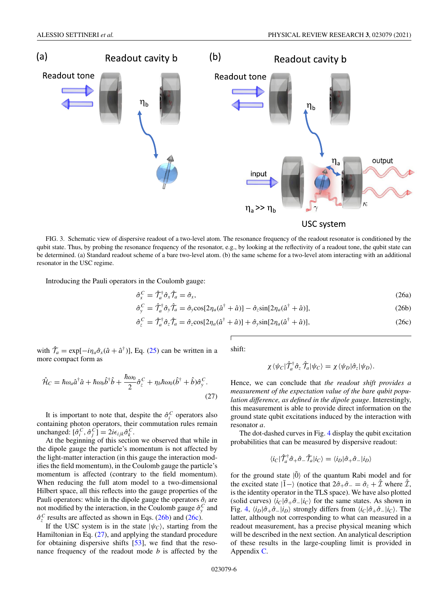<span id="page-5-0"></span>

FIG. 3. Schematic view of dispersive readout of a two-level atom. The resonance frequency of the readout resonator is conditioned by the qubit state. Thus, by probing the resonance frequency of the resonator, e.g., by looking at the reflectivity of a readout tone, the qubit state can be determined. (a) Standard readout scheme of a bare two-level atom. (b) the same scheme for a two-level atom interacting with an additional resonator in the USC regime.

Introducing the Pauli operators in the Coulomb gauge:

$$
\hat{\sigma}_x^C = \hat{\mathcal{T}}_a^{\dagger} \hat{\sigma}_x \hat{\mathcal{T}}_a = \hat{\sigma}_x,\tag{26a}
$$

$$
\hat{\sigma}_y^C = \hat{\mathcal{T}}_a^{\dagger} \hat{\sigma}_y \hat{\mathcal{T}}_a = \hat{\sigma}_y \cos[2\eta_a(\hat{a}^\dagger + \hat{a})] - \hat{\sigma}_z \sin[2\eta_a(\hat{a}^\dagger + \hat{a})],\tag{26b}
$$

$$
\hat{\sigma}_z^C = \hat{\mathcal{T}}_a^{\dagger} \hat{\sigma}_z \hat{\mathcal{T}}_a = \hat{\sigma}_z \cos[2\eta_a(\hat{a}^\dagger + \hat{a})] + \hat{\sigma}_y \sin[2\eta_a(\hat{a}^\dagger + \hat{a})],\tag{26c}
$$

with  $\hat{\mathcal{T}}_a = \exp[-i\eta_a \hat{\sigma}_x(\hat{a} + \hat{a}^\dagger)],$  Eq. [\(25\)](#page-4-0) can be written in a more compact form as

$$
\hat{\mathcal{H}}_C = \hbar \omega_a \hat{a}^\dagger \hat{a} + \hbar \omega_b \hat{b}^\dagger \hat{b} + \frac{\hbar \omega_0}{2} \hat{\sigma}_z^C + \eta_b \hbar \omega_0 (\hat{b}^\dagger + \hat{b}) \hat{\sigma}_y^C.
$$
\n(27)

It is important to note that, despite the  $\hat{\sigma}_i^C$  operators also containing photon operators, their commutation rules remain  $\text{unchanged: } [\hat{\sigma}_i^C, \hat{\sigma}_j^C] = 2i\epsilon_{ijk}\hat{\sigma}_k^C.$ 

At the beginning of this section we observed that while in the dipole gauge the particle's momentum is not affected by the light-matter interaction (in this gauge the interaction modifies the field momentum), in the Coulomb gauge the particle's momentum is affected (contrary to the field momentum). When reducing the full atom model to a two-dimensional Hilbert space, all this reflects into the gauge properties of the Pauli operators: while in the dipole gauge the operators  $\hat{\sigma}_i$  are not modified by the interaction, in the Coulomb gauge  $\hat{\sigma}_{y}^{C}$  and  $\hat{\sigma}_z^C$  results are affected as shown in Eqs. (26b) and (26c).

If the USC system is in the state  $|\psi_c\rangle$ , starting from the Hamiltonian in Eq. (27), and applying the standard procedure for obtaining dispersive shifts [\[53\]](#page-14-0), we find that the resonance frequency of the readout mode *b* is affected by the shift:

$$
\chi \langle \psi_C | \hat{\mathcal{T}}_a^{\dagger} \hat{\sigma}_z \hat{\mathcal{T}}_a | \psi_C \rangle = \chi \langle \psi_D | \hat{\sigma}_z | \psi_D \rangle.
$$

Hence, we can conclude that *the readout shift provides a measurement of the expectation value of the bare qubit population difference, as defined in the dipole gauge*. Interestingly, this measurement is able to provide direct information on the ground state qubit excitations induced by the interaction with resonator *a*.

The dot-dashed curves in Fig. [4](#page-6-0) display the qubit excitation probabilities that can be measured by dispersive readout:

$$
\langle i_C | \hat{\mathcal{T}}_a^{\dagger} \hat{\sigma}_+ \hat{\sigma}_- \hat{\mathcal{T}}_a | i_C \rangle = \langle i_D | \hat{\sigma}_+ \hat{\sigma}_- | i_D \rangle
$$

for the ground state  $|0\rangle$  of the quantum Rabi model and for the excited state  $|\tilde{1} - \rangle$  (notice that  $2\hat{\sigma}_+ \hat{\sigma}_- = \hat{\sigma}_{z} + \hat{\mathcal{I}}$  where  $\hat{\mathcal{I}}$ , is the identity operator in the TLS space). We have also plotted (solid curves)  $\langle i_C | \hat{\sigma}_+ \hat{\sigma}_- | i_C \rangle$  for the same states. As shown in Fig. [4,](#page-6-0)  $\langle i_D | \hat{\sigma}_+ \hat{\sigma}_- | i_D \rangle$  strongly differs from  $\langle i_C | \hat{\sigma}_+ \hat{\sigma}_- | i_C \rangle$ . The latter, although not corresponding to what can measured in a readout measurement, has a precise physical meaning which will be described in the next section. An analytical description of these results in the large-coupling limit is provided in Appendix [C.](#page-10-0)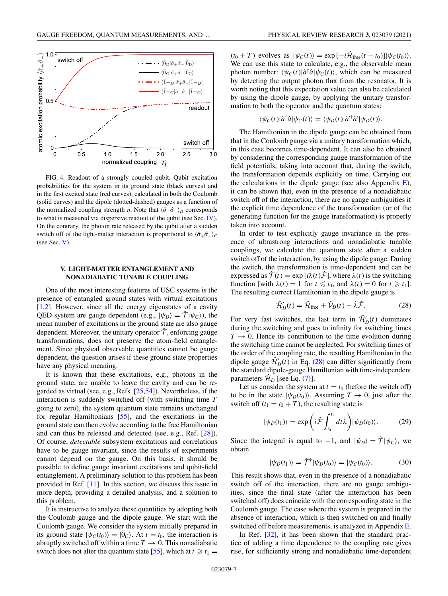<span id="page-6-0"></span>

FIG. 4. Readout of a strongly coupled qubit. Qubit excitation probabilities for the system in its ground state (black curves) and in the first excited state (red curves), calculated in both the Coulomb (solid curves) and the dipole (dotted-dashed) gauges as a function of the normalized coupling strength  $\eta$ . Note that  $\langle \hat{\sigma}_+ \hat{\sigma}_- \rangle_D$  corresponds to what is measured via dispersive readout of the qubit (see Sec. [IV\)](#page-4-0). On the contrary, the photon rate released by the qubit after a sudden switch off of the light-matter interaction is proportional to  $\langle \hat{\sigma}_+ \hat{\sigma}_- \rangle_C$ (see Sec. V).

# **V. LIGHT-MATTER ENTANGLEMENT AND NONADIABATIC TUNABLE COUPLING**

One of the most interesting features of USC systems is the presence of entangled ground states with virtual excitations [\[1,2\]](#page-13-0). However, since all the energy eigenstates of a cavity QED system are gauge dependent (e.g.,  $|\psi_D\rangle = \hat{T}|\psi_C\rangle$ ), the mean number of excitations in the ground state are also gauge dependent. Moreover, the unitary operator  $\hat{\tau}$ , enforcing gauge transformations, does not preserve the atom-field entanglement. Since physical observable quantities cannot be gauge dependent, the question arises if these ground state properties have any physical meaning.

It is known that these excitations, e.g., photons in the ground state, are unable to leave the cavity and can be regarded as virtual (see, e.g., Refs. [\[25,54\]](#page-14-0)). Nevertheless, if the interaction is suddenly switched off (with switching time *T* going to zero), the system quantum state remains unchanged for regular Hamiltonians [\[55\]](#page-14-0), and the excitations in the ground state can then evolve according to the free Hamiltonian and can thus be released and detected (see, e.g., Ref. [\[28\]](#page-14-0)). Of course, *detectable* subsystem excitations and correlations have to be gauge invariant, since the results of experiments cannot depend on the gauge. On this basis, it should be possible to define gauge invariant excitations and qubit-field entanglement. A preliminary solution to this problem has been provided in Ref. [\[11\]](#page-13-0). In this section, we discuss this issue in more depth, providing a detailed analysis, and a solution to this problem.

It is instructive to analyze these quantities by adopting both the Coulomb gauge and the dipole gauge. We start with the Coulomb gauge. We consider the system initially prepared in its ground state  $|\psi_C(t_0)\rangle = |\tilde{0}_C\rangle$ . At  $t = t_0$ , the interaction is abruptly switched off within a time  $T \to 0$ . This nonadiabatic switch does not alter the quantum state [\[55\]](#page-14-0), which at  $t \ge t_1$  =

 $(t_0 + T)$  evolves as  $|\psi_C(t)\rangle = \exp[-i\hat{\mathcal{H}}_{\text{free}}(t - t_0)]|\psi_C(t_0)\rangle$ . We can use this state to calculate, e.g., the observable mean photon number:  $\langle \psi_C(t) | \hat{a}^\dagger \hat{a} | \psi_C(t) \rangle$ , which can be measured by detecting the output photon flux from the resonator. It is worth noting that this expectation value can also be calculated by using the dipole gauge, by applying the unitary transformation to both the operator and the quantum states:

$$
\langle \psi_C(t) | \hat{a}^\dagger \hat{a} | \psi_C(t) \rangle = \langle \psi_D(t) | \hat{a}'^\dagger \hat{a}' | \psi_D(t) \rangle.
$$

The Hamiltonian in the dipole gauge can be obtained from that in the Coulomb gauge via a unitary transformation which, in this case becomes time-dependent. It can also be obtained by considering the corresponding gauge transformation of the field potentials, taking into account that, during the switch, the transformation depends explicitly on time. Carrying out the calculations in the dipole gauge (see also Appendix  $E$ ), it can be shown that, even in the presence of a nonadiabatic switch off of the interaction, there are no gauge ambiguities if the explicit time dependence of the transformation (or of the generating function for the gauge transformation) is properly taken into account.

In order to test explicitly gauge invariance in the presence of ultrastrong interactions and nonadiabatic tunable couplings, we calculate the quantum state after a sudden switch off of the interaction, by using the dipole gauge. During the switch, the transformation is time-dependent and can be expressed as  $\hat{\mathcal{T}}(t) = \exp[i\lambda(t)\hat{\mathcal{F}}]$ , where  $\lambda(t)$  is the switching function [with  $\lambda(t) = 1$  for  $t \leq t_0$ , and  $\lambda(t) = 0$  for  $t \geq t_1$ ]. The resulting correct Hamiltonian in the dipole gauge is

$$
\hat{\mathcal{H}}'_{D}(t) = \hat{\mathcal{H}}_{\text{free}} + \hat{\mathcal{V}}_{D}(t) - \dot{\lambda}\hat{\mathcal{F}}.\tag{28}
$$

For very fast switches, the last term in  $\hat{\mathcal{H}}'_{D}(t)$  dominates during the switching and goes to infinity for switching times  $T \rightarrow 0$ . Hence its contribution to the time evolution during the switching time cannot be neglected. For switching times of the order of the coupling rate, the resulting Hamiltonian in the dipole gauge  $\hat{\mathcal{H}}'_{D}(t)$  in Eq. (28) can differ significantly from the standard dipole-gauge Hamiltonian with time-independent parameters  $\mathcal{H}_D$  [see Eq. [\(7\)](#page-2-0)].

Let us consider the system at  $t = t_0$  (before the switch off) to be in the state  $|\psi_D(t_0)\rangle$ . Assuming  $T \to 0$ , just after the switch off  $(t_1 = t_0 + T)$ , the resulting state is

$$
|\psi_D(t_1)\rangle = \exp\left(i\hat{\mathcal{F}} \int_{t_0}^{t_1} dt \dot{\lambda}\right) |\psi_D(t_0)\rangle. \tag{29}
$$

Since the integral is equal to  $-1$ , and  $|\psi_D\rangle = \hat{\mathcal{T}}|\psi_C\rangle$ , we obtain

$$
|\psi_D(t_1)\rangle = \hat{\mathcal{T}}^{\dagger} |\psi_D(t_0)\rangle = |\psi_C(t_0)\rangle. \tag{30}
$$

This result shows that, even in the presence of a nonadiabatic switch off of the interaction, there are no gauge ambiguities, since the final state (after the interaction has been switched off) does coincide with the corresponding state in the Coulomb gauge. The case where the system is prepared in the absence of interaction, which is then switched on and finally switched off before measurements, is analyzed in Appendix [E.](#page-12-0)

In Ref. [\[32\]](#page-14-0), it has been shown that the standard practice of adding a time dependence to the coupling rate gives rise, for sufficiently strong and nonadiabatic time-dependent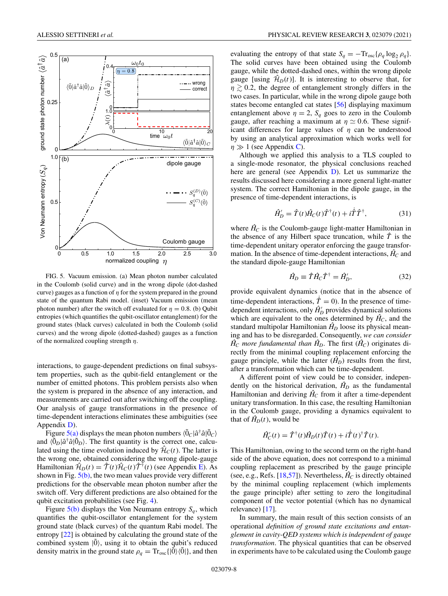<span id="page-7-0"></span>

FIG. 5. Vacuum emission. (a) Mean photon number calculated in the Coulomb (solid curve) and in the wrong dipole (dot-dashed curve) gauges as a function of  $\eta$  for the system prepared in the ground state of the quantum Rabi model. (inset) Vacuum emission (mean photon number) after the switch off evaluated for  $\eta = 0.8$ . (b) Qubit entropies (which quantifies the qubit-oscillator entanglement) for the ground states (black curves) calculated in both the Coulomb (solid curves) and the wrong dipole (dotted-dashed) gauges as a function of the normalized coupling strength  $\eta$ .

interactions, to gauge-dependent predictions on final subsystem properties, such as the qubit-field entanglement or the number of emitted photons. This problem persists also when the system is prepared in the absence of any interaction, and measurements are carried out after switching off the coupling. Our analysis of gauge transformations in the presence of time-dependent interactions eliminates these ambiguities (see Appendix [D\)](#page-11-0).

Figure  $5(a)$  displays the mean photon numbers  $\langle \tilde{0}_C | \hat{a}^\dagger \hat{a} | \tilde{0}_C \rangle$ and  $\langle \tilde{0}_D | \hat{a}^\dagger \hat{a} | \tilde{0}_D \rangle$ . The first quantity is the correct one, calculated using the time evolution induced by  $\hat{H}_C(t)$ . The latter is the wrong one, obtained considering the wrong dipole-gauge Hamiltonian  $\hat{\mathcal{H}}_D(t) = \hat{\mathcal{T}}(t)\hat{\mathcal{H}}_C(t)\hat{\mathcal{T}}^{\dagger}(t)$  (see Appendix [E\)](#page-12-0). As shown in Fig.  $5(b)$ , the two mean values provide very different predictions for the observable mean photon number after the switch off. Very different predictions are also obtained for the qubit excitation probabilities (see Fig. [4\)](#page-6-0).

Figure  $5(b)$  displays the Von Neumann entropy  $S_q$ , which quantifies the qubit-oscillator entanglement for the system ground state (black curves) of the quantum Rabi model. The entropy [\[22\]](#page-14-0) is obtained by calculating the ground state of the combined system  $|\tilde{0}\rangle$ , using it to obtain the qubit's reduced density matrix in the ground state  $\rho_q = \text{Tr}_{\text{osc}}\{|\tilde{0}\rangle\langle\tilde{0}|\}$ , and then

evaluating the entropy of that state  $S_q = -\text{Tr}_{\text{osc}}\{\rho_q \log_2 \rho_q\}.$ The solid curves have been obtained using the Coulomb gauge, while the dotted-dashed ones, within the wrong dipole gauge [using  $\hat{H}_D(t)$ ]. It is interesting to observe that, for  $\eta \gtrsim 0.2$ , the degree of entanglement strongly differs in the two cases. In particular, while in the wrong dipole gauge both states become entangled cat states [\[56\]](#page-14-0) displaying maximum entanglement above  $\eta = 2$ ,  $S_q$  goes to zero in the Coulomb gauge, after reaching a maximum at  $\eta \simeq 0.6$ . These significant differences for large values of  $\eta$  can be understood by using an analytical approximation which works well for  $n \gg 1$  (see Appendix [C\)](#page-10-0).

Although we applied this analysis to a TLS coupled to a single-mode resonator, the physical conclusions reached here are general (see Appendix [D\)](#page-11-0). Let us summarize the results discussed here considering a more general light-matter system. The correct Hamiltonian in the dipole gauge, in the presence of time-dependent interactions, is

$$
\hat{H}'_D = \hat{T}(t)\hat{H}_C(t)\hat{T}^\dagger(t) + i\dot{\hat{T}}\hat{T}^\dagger,\tag{31}
$$

where  $\hat{H}_C$  is the Coulomb-gauge light-matter Hamiltonian in the absence of any Hilbert space truncation, while  $\hat{T}$  is the time-dependent unitary operator enforcing the gauge transformation. In the absence of time-dependent interactions,  $\hat{H}_C$  and the standard dipole-gauge Hamiltonian

$$
\hat{H}_D \equiv \hat{T}\hat{H}_C\hat{T}^\dagger = \hat{H}'_D,\tag{32}
$$

provide equivalent dynamics (notice that in the absence of time-dependent interactions,  $\dot{\hat{T}} = 0$ ). In the presence of timedependent interactions, only  $\hat{H}_{D}$ <sup>'</sup> provides dynamical solutions which are equivalent to the ones determined by  $\hat{H}_C$ , and the standard multipolar Hamiltonian  $\hat{H}_D$  loose its physical meaning and has to be disregarded. Consequently, *we can consider*  $\hat{H}_C$  *more fundamental than*  $\hat{H}_D$ . The first  $(\hat{H}_C)$  originates directly from the minimal coupling replacement enforcing the gauge principle, while the latter  $(\hat{H}_D)$  results from the first, after a transformation which can be time-dependent.

A different point of view could be to consider, independently on the historical derivation,  $\hat{H}_D$  as the fundamental Hamiltonian and deriving  $\hat{H}_C$  from it after a time-dependent unitary transformation. In this case, the resulting Hamiltonian in the Coulomb gauge, providing a dynamics equivalent to that of  $\hat{H}_D(t)$ , would be

$$
\hat{H}'_C(t) = \hat{T}^{\dagger}(t)\hat{H}_D(t)\hat{T}(t) + i\dot{\hat{T}}(t)^{\dagger}\hat{T}(t).
$$

This Hamiltonian, owing to the second term on the right-hand side of the above equation, does not correspond to a minimal coupling replacement as prescribed by the gauge principle (see, e.g., Refs. [\[18](#page-13-0)[,57\]](#page-14-0)). Nevertheless,  $\hat{H}_C$  is directly obtained by the minimal coupling replacement (which implements the gauge principle) after setting to zero the longitudinal component of the vector potential (which has no dynamical relevance) [\[17\]](#page-13-0).

In summary, the main result of this section consists of an operational *definition of ground state excitations and entanglement in cavity-QED systems which is independent of gauge transformation*. The physical quantities that can be observed in experiments have to be calculated using the Coulomb gauge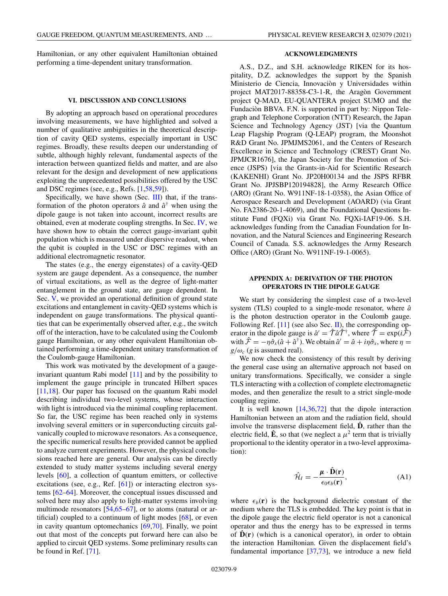<span id="page-8-0"></span>Hamiltonian, or any other equivalent Hamiltonian obtained performing a time-dependent unitary transformation.

### **VI. DISCUSSION AND CONCLUSIONS**

By adopting an approach based on operational procedures involving measurements, we have highlighted and solved a number of qualitative ambiguities in the theoretical description of cavity QED systems, especially important in USC regimes. Broadly, these results deepen our understanding of subtle, although highly relevant, fundamental aspects of the interaction between quantized fields and matter, and are also relevant for the design and development of new applications exploiting the unprecedented possibilities offered by the USC and DSC regimes (see, e.g., Refs. [\[1,](#page-13-0)[58,59\]](#page-15-0)).

Specifically, we have shown (Sec. [III\)](#page-2-0) that, if the transformation of the photon operators  $\hat{a}$  and  $\hat{a}^{\dagger}$  when using the dipole gauge is not taken into account, incorrect results are obtained, even at moderate coupling strengths. In Sec. [IV,](#page-4-0) we have shown how to obtain the correct gauge-invariant qubit population which is measured under dispersive readout, when the qubit is coupled in the USC or DSC regimes with an additional electromagnetic resonator.

The states (e.g., the energy eigenstates) of a cavity-QED system are gauge dependent. As a consequence, the number of virtual excitations, as well as the degree of light-matter entanglement in the ground state, are gauge dependent. In Sec. [V,](#page-6-0) we provided an operational definition of ground state excitations and entanglement in cavity-QED systems which is independent on gauge transformations. The physical quantities that can be experimentally observed after, e.g., the switch off of the interaction, have to be calculated using the Coulomb gauge Hamiltonian, or any other equivalent Hamiltonian obtained performing a time-dependent unitary transformation of the Coulomb-gauge Hamiltonian.

This work was motivated by the development of a gaugeinvariant quantum Rabi model [\[11\]](#page-13-0) and by the possibility to implement the gauge principle in truncated Hilbert spaces [\[11,18\]](#page-13-0). Our paper has focused on the quantum Rabi model describing individual two-level systems, whose interaction with light is introduced via the minimal coupling replacement. So far, the USC regime has been reached only in systems involving several emitters or in superconducting circuits galvanically coupled to microwave resonators. As a consequence, the specific numerical results here provided cannot be applied to analyze current experiments. However, the physical conclusions reached here are general. Our analysis can be directly extended to study matter systems including several energy levels [\[60\]](#page-15-0), a collection of quantum emitters, or collective excitations (see, e.g., Ref. [\[61\]](#page-15-0)) or interacting electron systems [\[62–64\]](#page-15-0). Moreover, the conceptual issues discussed and solved here may also apply to light-matter systems involving multimode resonators [\[54,](#page-14-0)[65–67\]](#page-15-0), or to atoms (natural or artificial) coupled to a continuum of light modes [\[68\]](#page-15-0), or even in cavity quantum optomechanics [\[69,70\]](#page-15-0). Finally, we point out that most of the concepts put forward here can also be applied to circuit QED systems. Some preliminary results can be found in Ref. [\[71\]](#page-15-0).

## **ACKNOWLEDGMENTS**

A.S., D.Z., and S.H. acknowledge RIKEN for its hospitality, D.Z. acknowledges the support by the Spanish Ministerio de Ciencia, Innovaciòn y Universidades within project MAT2017-88358-C3-1-R, the Aragòn Government project Q-MAD, EU-QUANTERA project SUMO and the Fundaciòn BBVA. F.N. is supported in part by: Nippon Telegraph and Telephone Corporation (NTT) Research, the Japan Science and Technology Agency (JST) [via the Quantum Leap Flagship Program (Q-LEAP) program, the Moonshot R&D Grant No. JPMJMS2061, and the Centers of Research Excellence in Science and Technology (CREST) Grant No. JPMJCR1676], the Japan Society for the Promotion of Science (JSPS) [via the Grants-in-Aid for Scientific Research (KAKENHI) Grant No. JP20H00134 and the JSPS RFBR Grant No. JPJSBP120194828], the Army Research Office (ARO) (Grant No. W911NF-18-1-0358), the Asian Office of Aerospace Research and Development (AOARD) (via Grant No. FA2386-20-1-4069), and the Foundational Questions Institute Fund (FQXi) via Grant No. FQXi-IAF19-06. S.H. acknowledges funding from the Canadian Foundation for Innovation, and the Natural Sciences and Engineering Research Council of Canada. S.S. acknowledges the Army Research Office (ARO) (Grant No. W911NF-19-1-0065).

# **APPENDIX A: DERIVATION OF THE PHOTON OPERATORS IN THE DIPOLE GAUGE**

We start by considering the simplest case of a two-level system (TLS) coupled to a single-mode resonator, where  $\hat{a}$ is the photon destruction operator in the Coulomb gauge. Following Ref. [\[11\]](#page-13-0) (see also Sec. [II\)](#page-1-0), the corresponding operator in the dipole gauge is  $\hat{a}' = \hat{\tau} \hat{a} \hat{\tau}^{\dagger}$ , where  $\hat{\tau} = \exp(i\hat{\tau})$ with  $\hat{\mathcal{F}} = -\eta \hat{\sigma}_x(\hat{a} + \hat{a}^\dagger)$ . We obtain  $\hat{a}' = \hat{a} + i\eta \hat{\sigma}_x$ , where  $\eta =$  $g/\omega_c$  (*g* is assumed real).

We now check the consistency of this result by deriving the general case using an alternative approach not based on unitary transformations. Specifically, we consider a single TLS interacting with a collection of complete electromagnetic modes, and then generalize the result to a strict single-mode coupling regime.

It is well known  $[14,36,72]$  $[14,36,72]$  $[14,36,72]$  that the dipole interaction Hamiltonian between an atom and the radiation field, should involve the transverse displacement field,  $\hat{\mathbf{D}}$ , rather than the electric field,  $\hat{\mathbf{E}}$ , so that (we neglect a  $\mu^2$  term that is trivially proportional to the identity operator in a two-level approximation):

$$
\hat{\mathcal{H}}_I = -\frac{\mu \cdot \hat{\mathbf{D}}(\mathbf{r})}{\epsilon_0 \epsilon_b(\mathbf{r})},\tag{A1}
$$

where  $\epsilon_b(\mathbf{r})$  is the background dielectric constant of the medium where the TLS is embedded. The key point is that in the dipole gauge the electric field operator is not a canonical operator and thus the energy has to be expressed in terms of  $\hat{\mathbf{D}}(\mathbf{r})$  (which is a canonical operator), in order to obtain the interaction Hamiltonian. Given the displacement field's fundamental importance [\[37](#page-14-0)[,73\]](#page-15-0), we introduce a new field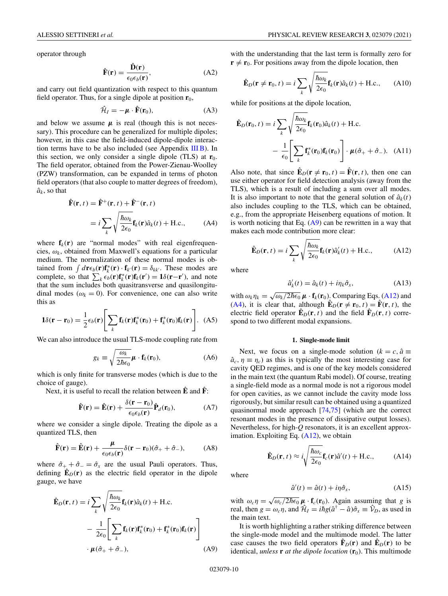operator through

$$
\hat{\mathbf{F}}(\mathbf{r}) = \frac{\hat{\mathbf{D}}(\mathbf{r})}{\epsilon_0 \epsilon_b(\mathbf{r})},
$$
\n(A2)

and carry out field quantization with respect to this quantum field operator. Thus, for a single dipole at position  $\mathbf{r}_0$ ,

$$
\hat{\mathcal{H}}_I = -\mu \cdot \hat{\mathbf{F}}(\mathbf{r}_0),\tag{A3}
$$

and below we assume  $\mu$  is real (though this is not necessary). This procedure can be generalized for multiple dipoles; however, in this case the field-induced dipole-dipole interaction terms have to be also included (see Appendix  $III$  B). In this section, we only consider a single dipole (TLS) at  $\mathbf{r}_0$ . The field operator, obtained from the Power-Zienau-Woolley (PZW) transformation, can be expanded in terms of photon field operators (that also couple to matter degrees of freedom),  $\hat{a}_k$ , so that

$$
\hat{\mathbf{F}}(\mathbf{r}, t) = \hat{\mathbf{F}}^{+}(\mathbf{r}, t) + \hat{\mathbf{F}}^{-}(\mathbf{r}, t)
$$
\n
$$
= i \sum_{k} \sqrt{\frac{\hbar \omega_{k}}{2\epsilon_{0}}} \mathbf{f}_{k}(\mathbf{r}) \hat{a}_{k}(t) + \text{H.c.}, \quad (A4)
$$

where  $f_k(r)$  are "normal modes" with real eigenfrequencies,  $\omega_k$ , obtained from Maxwell's equations for a particular medium. The normalization of these normal modes is obtained from  $\int d\mathbf{r} \epsilon_b(\mathbf{r}) \mathbf{f}_k^*(\mathbf{r}) \cdot \mathbf{f}_{k'}(\mathbf{r}) = \delta_{kk'}$ . These modes are complete, so that  $\sum_{k} \epsilon_b(\mathbf{r}) \mathbf{f}_k^*(\mathbf{r}) \mathbf{f}_k(\mathbf{r}') = \mathbf{1} \delta(\mathbf{r} - \mathbf{r}')$ , and note that the sum includes both quasitransverse and quasilongitudinal modes ( $\omega_k = 0$ ). For convenience, one can also write this as

$$
1\delta(\mathbf{r}-\mathbf{r}_0)=\frac{1}{2}\epsilon_b(\mathbf{r})\Bigg[\sum_k \mathbf{f}_k(\mathbf{r})\mathbf{f}_k^*(\mathbf{r}_0)+\mathbf{f}_k^*(\mathbf{r}_0)\mathbf{f}_k(\mathbf{r})\Bigg].
$$
 (A5)

We can also introduce the usual TLS-mode coupling rate from

$$
g_k \equiv \sqrt{\frac{\omega_k}{2\hbar\epsilon_0}} \boldsymbol{\mu} \cdot \mathbf{f}_k(\mathbf{r}_0), \tag{A6}
$$

which is only finite for transverse modes (which is due to the choice of gauge).

Next, it is useful to recall the relation between  $\hat{E}$  and  $\hat{F}$ :

$$
\hat{\mathbf{F}}(\mathbf{r}) = \hat{\mathbf{E}}(\mathbf{r}) + \frac{\delta(\mathbf{r} - \mathbf{r}_0)}{\epsilon_0 \epsilon_b(\mathbf{r})} \hat{\mathbf{P}}_d(\mathbf{r}_0),
$$
 (A7)

where we consider a single dipole. Treating the dipole as a quantized TLS, then

$$
\hat{\mathbf{F}}(\mathbf{r}) = \hat{\mathbf{E}}(\mathbf{r}) + \frac{\mu}{\epsilon_0 \epsilon_b(\mathbf{r})} \delta(\mathbf{r} - \mathbf{r}_0)(\hat{\sigma}_+ + \hat{\sigma}_-), \quad (A8)
$$

where  $\hat{\sigma}_+ + \hat{\sigma}_- = \hat{\sigma}_x$  are the usual Pauli operators. Thus, defining  $\mathbf{E}_D(\mathbf{r})$  as the electric field operator in the dipole gauge, we have

$$
\hat{\mathbf{E}}_{D}(\mathbf{r},t) = i \sum_{k} \sqrt{\frac{\hbar \omega_{k}}{2\epsilon_{0}}} \mathbf{f}_{k}(\mathbf{r}) \hat{a}_{k}(t) + \text{H.c.} \n- \frac{1}{2\epsilon_{0}} \left[ \sum_{k} \mathbf{f}_{k}(\mathbf{r}) \mathbf{f}_{k}^{*}(\mathbf{r}_{0}) + \mathbf{f}_{k}^{*}(\mathbf{r}_{0}) \mathbf{f}_{k}(\mathbf{r}) \right] \n\cdot \mu(\hat{\sigma}_{+} + \hat{\sigma}_{-}),
$$
\n(A9)

with the understanding that the last term is formally zero for  $\mathbf{r} \neq \mathbf{r}_0$ . For positions away from the dipole location, then

$$
\hat{\mathbf{E}}_D(\mathbf{r} \neq \mathbf{r}_0, t) = i \sum_k \sqrt{\frac{\hbar \omega_k}{2\epsilon_0}} \mathbf{f}_k(\mathbf{r}) \hat{a}_k(t) + \text{H.c.}, \quad (A10)
$$

while for positions at the dipole location,

$$
\hat{\mathbf{E}}_D(\mathbf{r}_0, t) = i \sum_k \sqrt{\frac{\hbar \omega_k}{2\epsilon_0}} \mathbf{f}_k(\mathbf{r}_0) \hat{a}_k(t) + \text{H.c.} \n- \frac{1}{\epsilon_0} \left[ \sum_k \mathbf{f}_k^*(\mathbf{r}_0) \mathbf{f}_k(\mathbf{r}_0) \right] \cdot \boldsymbol{\mu}(\hat{\sigma}_+ + \hat{\sigma}_-). \quad (A11)
$$

Also note, that since  $\mathbf{\hat{E}}_D(\mathbf{r} \neq \mathbf{r}_0, t) = \mathbf{\hat{F}}(\mathbf{r}, t)$ , then one can use either operator for field detection analysis (away from the TLS), which is a result of including a sum over all modes. It is also important to note that the general solution of  $\hat{a}_k(t)$ also includes coupling to the TLS, which can be obtained, e.g., from the appropriate Heisenberg equations of motion. It is worth noticing that Eq.  $(A9)$  can be rewritten in a way that makes each mode contribution more clear:

$$
\hat{\mathbf{E}}_D(\mathbf{r}, t) = i \sum_k \sqrt{\frac{\hbar \omega_k}{2\epsilon_0}} \mathbf{f}_k(\mathbf{r}) \hat{a}'_k(t) + \text{H.c.},
$$
 (A12)

where

$$
\hat{a}'_k(t) = \hat{a}_k(t) + i\eta_k \hat{\sigma}_x,\tag{A13}
$$

with  $\omega_k \eta_k = \sqrt{\omega_k/2\hbar\epsilon_0} \mu \cdot \mathbf{f}_k(\mathbf{r}_0)$ . Comparing Eqs. (A12) and (A4), it is clear that, although  $\mathbf{\hat{E}}_D(\mathbf{r} \neq \mathbf{r}_0, t) = \mathbf{\hat{F}}(\mathbf{r}, t)$ , the electric field operator  $\mathbf{\hat{E}}_D(\mathbf{r},t)$  and the field  $\mathbf{\hat{F}}_D(\mathbf{r},t)$  correspond to two different modal expansions.

### **1. Single-mode limit**

Next, we focus on a single-mode solution ( $k = c$ ,  $\hat{a} \equiv$  $\hat{a}_c$ ,  $\eta \equiv \eta_c$ ) as this is typically the most interesting case for cavity QED regimes, and is one of the key models considered in the main text (the quantum Rabi model). Of course, treating a single-field mode as a normal mode is not a rigorous model for open cavities, as we cannot include the cavity mode loss rigorously, but similar result can be obtained using a quantized quasinormal mode approach [\[74,75\]](#page-15-0) (which are the correct resonant modes in the presence of dissipative output losses). Nevertheless, for high-*Q* resonators, it is an excellent approximation. Exploiting Eq.  $(A12)$ , we obtain

$$
\hat{\mathbf{E}}_D(\mathbf{r}, t) \approx i \sqrt{\frac{\hbar \omega_c}{2\epsilon_0}} \mathbf{f}_c(\mathbf{r}) \hat{a}'(t) + \text{H.c.}, \quad (A14)
$$

where

$$
\hat{a}'(t) = \hat{a}(t) + i\eta \hat{\sigma}_x,\tag{A15}
$$

with  $\omega_c \eta = \sqrt{\omega_c/2\hbar\epsilon_0} \mu \cdot \mathbf{f}_c(\mathbf{r}_0)$ . Again assuming that *g* is real, then  $g = \omega_c \eta$ , and  $\hat{\mathcal{H}}_I = i\hbar g(\hat{a}^\dagger - \hat{a})\hat{\sigma}_x \equiv \hat{V}_D$ , as used in the main text.

It is worth highlighting a rather striking difference between the single-mode model and the multimode model. The latter case causes the two field operators  $\mathbf{\hat{F}}_D(\mathbf{r})$  and  $\mathbf{\hat{E}}_D(\mathbf{r})$  to be identical, *unless* **r** *at the dipole location*  $(r_0)$ . This multimode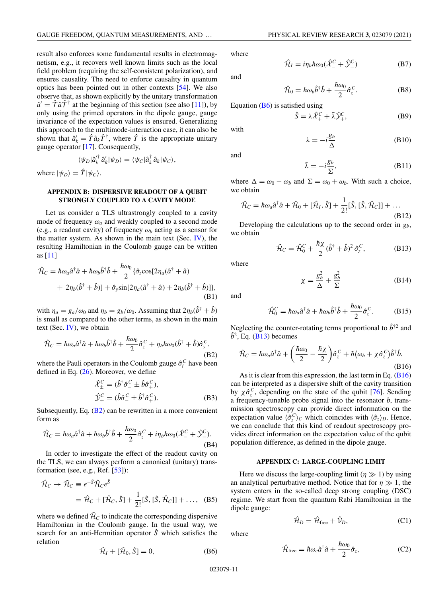<span id="page-10-0"></span>result also enforces some fundamental results in electromagnetism, e.g., it recovers well known limits such as the local field problem (requiring the self-consistent polarization), and ensures causality. The need to enforce causality in quantum optics has been pointed out in other contexts [\[54\]](#page-14-0). We also observe that, as shown explicitly by the unitary transformation  $\hat{a}' = \hat{\mathcal{T}} \hat{a} \hat{\mathcal{T}}^{\dagger}$  at the beginning of this section (see also [\[11\]](#page-13-0)), by only using the primed operators in the dipole gauge, gauge invariance of the expectation values is ensured. Generalizing this approach to the multimode-interaction case, it can also be shown that  $\hat{a}'_k = \hat{T} \hat{a}_k \hat{T}^{\dagger}$ , where  $\hat{T}$  is the appropriate unitary gauge operator [\[17\]](#page-13-0). Consequently,

$$
\langle \psi_D | \hat{a}_k^{\prime \dagger} \, \hat{a}_k^{\prime} | \psi_D \rangle = \langle \psi_C | \hat{a}_k^{\dagger} \, \hat{a}_k | \psi_C \rangle,
$$

where  $|\psi_D\rangle = \hat{T}|\psi_C\rangle$ .

## **APPENDIX B: DISPERSIVE READOUT OF A QUBIT STRONGLY COUPLED TO A CAVITY MODE**

Let us consider a TLS ultrastrongly coupled to a cavity mode of frequency  $\omega_a$  and weakly coupled to a second mode (e.g., a readout cavity) of frequency  $\omega_b$  acting as a sensor for the matter system. As shown in the main text (Sec.  $IV$ ), the resulting Hamiltonian in the Coulomb gauge can be written as [\[11\]](#page-13-0)

$$
\hat{\mathcal{H}}_C = \hbar \omega_a \hat{a}^\dagger \hat{a} + \hbar \omega_b \hat{b}^\dagger \hat{b} + \frac{\hbar \omega_0}{2} \{ \hat{\sigma}_z \cos[2\eta_a (\hat{a}^\dagger + \hat{a}) + 2\eta_b (\hat{b}^\dagger + \hat{b})] + \hat{\sigma}_y \sin[2\eta_a (\hat{a}^\dagger + \hat{a}) + 2\eta_b (\hat{b}^\dagger + \hat{b})] \},\tag{B1}
$$

with  $\eta_a = g_a/\omega_0$  and  $\eta_b = g_b/\omega_0$ . Assuming that  $2\eta_b(\hat{b}^\dagger + \hat{b})$ is small as compared to the other terms, as shown in the main text (Sec.  $IV$ ), we obtain

$$
\hat{\mathcal{H}}_C = \hbar \omega_a \hat{a}^\dagger \hat{a} + \hbar \omega_b \hat{b}^\dagger \hat{b} + \frac{\hbar \omega_0}{2} \hat{\sigma}_z^C + \eta_b \hbar \omega_0 (\hat{b}^\dagger + \hat{b}) \hat{\sigma}_y^C, \tag{B2}
$$

where the Pauli operators in the Coulomb gauge  $\hat{\sigma}_i^C$  have been defined in Eq. [\(26\)](#page-5-0). Moreover, we define

$$
\hat{\mathcal{X}}_{\pm}^{C} = (\hat{b}^{\dagger} \hat{\sigma}_{-}^{C} \pm \hat{b} \hat{\sigma}_{+}^{C}),
$$
  

$$
\hat{\mathcal{Y}}_{\pm}^{C} = (\hat{b} \hat{\sigma}_{-}^{C} \pm \hat{b}^{\dagger} \hat{\sigma}_{+}^{C}).
$$
 (B3)

Subsequently, Eq. (B2) can be rewritten in a more convenient form as

$$
\hat{\mathcal{H}}_C = \hbar \omega_a \hat{a}^\dagger \hat{a} + \hbar \omega_b \hat{b}^\dagger \hat{b} + \frac{\hbar \omega_0}{2} \hat{\sigma}_z^C + i \eta_b \hbar \omega_0 (\hat{\mathcal{X}}_ -^C + \hat{\mathcal{Y}}_-^C).
$$
\n(B4)

In order to investigate the effect of the readout cavity on the TLS, we can always perform a canonical (unitary) transformation (see, e.g., Ref. [\[53\]](#page-14-0)):

$$
\hat{\mathcal{H}}_C \to \tilde{\mathcal{H}}_C \equiv e^{-\hat{S}} \hat{\mathcal{H}}_C e^{\hat{S}}
$$
  
=  $\hat{\mathcal{H}}_C + [\hat{\mathcal{H}}_C, \hat{S}] + \frac{1}{2!} [\hat{S}, [\hat{S}, \hat{\mathcal{H}}_C]] + ...,$  (B5)

where we defined  $\tilde{H}_C$  to indicate the corresponding dispersive Hamiltonian in the Coulomb gauge. In the usual way, we search for an anti-Hermitian operator *S*ˆ which satisfies the relation

$$
\hat{\mathcal{H}}_I + [\hat{\mathcal{H}}_0, \hat{S}] = 0, \tag{B6}
$$

where

an

$$
\hat{\mathcal{H}}_I = i\eta_b \hbar \omega_0 (\hat{\mathcal{X}}_ -^C + \hat{\mathcal{Y}}_-^C) \tag{B7}
$$

$$
\mathbf{d} =
$$

$$
\hat{\mathcal{H}}_0 = \hbar \omega_b \hat{b}^\dagger \hat{b} + \frac{\hbar \omega_0}{2} \hat{\sigma}_z^C.
$$
 (B8)

Equation  $(B6)$  is satisfied using

$$
\hat{S} = \lambda \hat{\mathcal{X}}_+^C + \bar{\lambda} \hat{\mathcal{Y}}_+^C, \tag{B9}
$$

with

and

$$
\lambda = -i \frac{g_b}{\Delta} \tag{B10}
$$

$$
\bar{\lambda} = -i\frac{g_b}{\Sigma},\tag{B11}
$$

where  $\Delta = \omega_0 - \omega_b$  and  $\Sigma = \omega_0 + \omega_b$ . With such a choice, we obtain

$$
\tilde{\mathcal{H}}_C = \hbar \omega_a \hat{a}^\dagger \hat{a} + \hat{\mathcal{H}}_0 + [\hat{\mathcal{H}}_I, \hat{S}] + \frac{1}{2!} [\hat{S}, [\hat{S}, \hat{\mathcal{H}}_C]] + \dots
$$
\n(B12)

Developing the calculations up to the second order in *gb*, we obtain

$$
\tilde{\mathcal{H}}_C = \hat{\mathcal{H}}_0^C + \frac{\hbar \chi}{2} (\hat{b}^\dagger + \hat{b})^2 \hat{\sigma}_z^C, \tag{B13}
$$

where

$$
\chi = \frac{g_b^2}{\Delta} + \frac{g_b^2}{\Sigma} \tag{B14}
$$

and

$$
\hat{\mathcal{H}}_0^C = \hbar \omega_a \hat{a}^\dagger \hat{a} + \hbar \omega_b \hat{b}^\dagger \hat{b} + \frac{\hbar \omega_0}{2} \hat{\sigma}_z^C. \tag{B15}
$$

Neglecting the counter-rotating terms proportional to  $\hat{b}^{\dagger 2}$  and  $\hat{b}^2$ , Eq. (**B**13) becomes

$$
\tilde{\mathcal{H}}_C = \hbar \omega_a \hat{a}^\dagger \hat{a} + \left(\frac{\hbar \omega_0}{2} - \frac{\hbar \chi}{2}\right) \hat{\sigma}_z^C + \hbar (\omega_b + \chi \hat{\sigma}_z^C) \hat{b}^\dagger \hat{b}.
$$
\n(B16)

As it is clear from this expression, the last term in Eq. (B16) can be interpreted as a dispersive shift of the cavity transition by  $\chi \hat{\sigma}_z^C$ , depending on the state of the qubit [\[76\]](#page-15-0). Sending a frequency-tunable probe signal into the resonator *b*, transmission spectroscopy can provide direct information on the expectation value  $\langle \hat{\sigma}_z^C \rangle_C$  which coincides with  $\langle \hat{\sigma}_z \rangle_D$ . Hence, we can conclude that this kind of readout spectroscopy provides direct information on the expectation value of the qubit population difference, as defined in the dipole gauge.

## **APPENDIX C: LARGE-COUPLING LIMIT**

Here we discuss the large-coupling limit  $(\eta \gg 1)$  by using an analytical perturbative method. Notice that for  $\eta \gg 1$ , the system enters in the so-called deep strong coupling (DSC) regime. We start from the quantum Rabi Hamiltonian in the dipole gauge:

$$
\hat{\mathcal{H}}_D = \hat{\mathcal{H}}_{\text{free}} + \hat{\mathcal{V}}_D,\tag{C1}
$$

where

$$
\hat{\mathcal{H}}_{\text{free}} = \hbar \omega_c \hat{a}^\dagger \hat{a} + \frac{\hbar \omega_0}{2} \hat{\sigma}_z, \tag{C2}
$$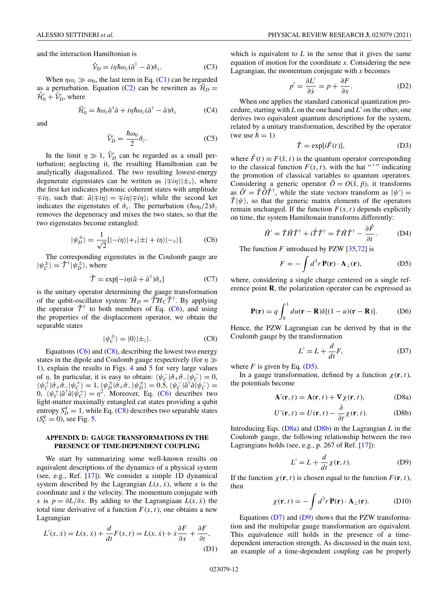<span id="page-11-0"></span>and the interaction Hamiltonian is

$$
\hat{\mathcal{V}}_D = i\eta \hbar \omega_c (\hat{a}^\dagger - \hat{a}) \hat{\sigma}_x. \tag{C3}
$$

When  $\eta \omega_c \gg \omega_0$ , the last term in Eq. [\(C1\)](#page-10-0) can be regarded as a perturbation. Equation [\(C2\)](#page-10-0) can be rewritten as  $\mathcal{H}_D =$  $\hat{\mathcal{H}}'_0 + \hat{\mathcal{V}}'_D$ , where

$$
\hat{\mathcal{H}}_0' = \hbar \omega_c \hat{a}^\dagger \hat{a} + i\eta \hbar \omega_c (\hat{a}^\dagger - \hat{a}) \hat{\sigma}_x \tag{C4}
$$

and

$$
\hat{\mathcal{V}}_D' = \frac{\hbar \omega_0}{2} \hat{\sigma}_z.
$$
\n(C5)

In the limit  $\eta \gg 1$ ,  $\hat{V}_D'$  can be regarded as a small perturbation; neglecting it, the resulting Hamiltonian can be analytically diagonalized. The two resulting lowest-energy degenerate eigenstates can be written as  $|\mp in\rangle|\pm x\rangle$ , where the first ket indicates photonic coherent states with amplitude  $\mp i\eta$ , such that:  $\hat{a}|\mp i\eta\rangle = \mp i\eta|\mp i\eta\rangle$ ; while the second ket indicates the eigenstates of  $\hat{\sigma}_x$ . The perturbation  $(\hbar \omega_0/2) \hat{\sigma}_z$ removes the degeneracy and mixes the two states, so that the two eigenstates become entangled:

$$
|\psi_D^{\pm}\rangle = \frac{1}{\sqrt{2}}[| -i\eta \rangle | +_{x}\rangle \pm | +i\eta \rangle | -_{x}\rangle].
$$
 (C6)

The corresponding eigenstates in the Coulomb gauge are  $|\psi_c^{\pm}\rangle = \hat{\mathcal{T}}^{\dagger}|\psi_D^{\pm}\rangle$ , where

$$
\hat{\mathcal{T}} = \exp[-i\eta(\hat{a} + \hat{a}^{\dagger})\hat{\sigma}_x]
$$
 (C7)

is the unitary operator determining the gauge transformation of the qubit-oscillator system:  $H_D = \hat{T}H_C\hat{T}^{\dagger}$ . By applying the operator  $\hat{\mathcal{T}}^{\dagger}$  to both members of Eq. (C6), and using the properties of the displacement operator, we obtain the separable states

$$
|\psi_C^{\pm}\rangle = |0\rangle|\pm_z\rangle. \tag{C8}
$$

Equations  $(C6)$  and  $(C8)$ , describing the lowest two energy states in the dipole and Coulomb gauge respectively (for  $\eta \gg$ 1), explain the results in Figs. [4](#page-6-0) and [5](#page-7-0) for very large values of *η*. In particular, it is easy to obtain:  $\langle \psi_C^- | \hat{\sigma}_+ \hat{\sigma}_- | \psi_C^- \rangle = 0$ ,  $\langle \psi_C^+ | \hat{\sigma}_+ \hat{\sigma}_- | \psi_C^+ \rangle = 1, \langle \psi_D^{\pm} | \hat{\sigma}_+ \hat{\sigma}_- | \psi_D^+ \rangle = 0.5, \langle \psi_C^- | \hat{a}^\dagger \hat{a} | \psi_C^- \rangle = 0$ 0,  $\langle \psi_c^+ | \hat{a}^\dagger \hat{a} | \psi_c^+ \rangle = \eta^2$ . Moreover, Eq. (C6) describes two light-matter maximally entangled cat states providing a qubit entropy  $S_D^q = 1$ , while Eq. (C8) describes two separable states  $(S_C^q = 0)$ , see Fig. [5.](#page-7-0)

# **APPENDIX D: GAUGE TRANSFORMATIONS IN THE PRESENCE OF TIME-DEPENDENT COUPLING**

We start by summarizing some well-known results on equivalent descriptions of the dynamics of a physical system (see, e.g., Ref. [\[17\]](#page-13-0)). We consider a simple 1D dynamical system described by the Lagrangian  $L(x, \dot{x})$ , where *x* is the coordinate and  $\dot{x}$  the velocity. The momentum conjugate with *x* is  $p = \partial L / \partial x$ . By adding to the Lagrangiaan  $L(x, \dot{x})$  the total time derivative of a function  $F(x, t)$ , one obtains a new Lagrangian

$$
L'(x, \dot{x}) = L(x, \dot{x}) + \frac{d}{dt}F(x, t) = L(x, \dot{x}) + \dot{x}\frac{\partial F}{\partial x} + \frac{\partial F}{\partial t},
$$
\n(D1)

which is equivalent to  $L$  in the sense that it gives the same equation of motion for the coordinate *x*. Considering the new Lagrangian, the momentum conjugate with *x* becomes

$$
p' = \frac{\partial L'}{\partial \dot{x}} = p + \frac{\partial F}{\partial x}.
$$
 (D2)

When one applies the standard canonical quantization procedure, starting with  $L$  on the one hand and  $L'$  on the other, one derives two equivalent quantum descriptions for the system, related by a unitary transformation, described by the operator (we use  $\hbar = 1$ )

$$
\hat{T} = \exp[i\hat{F}(t)],\tag{D3}
$$

where  $\hat{F}(t) \equiv F(\hat{x}, t)$  is the quantum operator corresponding to the classical function  $F(x, t)$ , with the hat "<sup>\*</sup>" indicating the promotion of classical variables to quantum operators. Considering a generic operator  $\hat{O} = O(\hat{x}, \hat{p})$ , it transforms as  $\hat{O}' = \hat{T} \hat{O} \hat{T}^{\dagger}$ , while the state vectors transform as  $|\psi'\rangle =$  $\hat{T}|\psi\rangle$ , so that the generic matrix elements of the operators remain unchanged. If the function  $F(x, t)$  depends explicitly on time, the system Hamiltonain transforms differently:

$$
\hat{H}' = \hat{T}\hat{H}\hat{T}^{\dagger} + i\dot{\hat{T}}\hat{T}^{\dagger} = \hat{T}\hat{H}\hat{T}^{\dagger} - \frac{\partial\hat{F}}{\partial t}.
$$
 (D4)

The function *F* introduced by PZW [\[35,](#page-14-0)[72\]](#page-15-0) is

$$
F = -\int d^3r \, \mathbf{P}(\mathbf{r}) \cdot \mathbf{A}_{\perp}(\mathbf{r}),\tag{D5}
$$

where, considering a single charge centered on a single reference point **R**, the polarization operator can be expressed as

$$
\mathbf{P}(\mathbf{r}) = q \int_0^1 du(\mathbf{r} - \mathbf{R}) \delta[(1 - u)(\mathbf{r} - \mathbf{R})].
$$
 (D6)

Hence, the PZW Lagrangian can be derived by that in the Coulomb gauge by the transformation

$$
L' = L + \frac{d}{dt}F,
$$
 (D7)

where  $F$  is given by Eq. ( $D5$ ).

In a gauge transformation, defined by a function  $\chi(\mathbf{r},t)$ , the potentials become

$$
\mathbf{A}'(\mathbf{r},t) = \mathbf{A}(\mathbf{r},t) + \nabla \chi(\mathbf{r},t),
$$
 (D8a)

$$
U'(\mathbf{r}, t) = U(\mathbf{r}, t) - \frac{\partial}{\partial t} \chi(\mathbf{r}, t).
$$
 (D8b)

Introducing Eqs. (D8a) and (D8b) in the Lagrangian *L* in the Coulomb gauge, the following relationship between the two Lagrangians holds (see, e.g., p. 267 of Ref. [\[17\]](#page-13-0)):

$$
L' = L + \frac{d}{dt} \chi(\mathbf{r}, t).
$$
 (D9)

If the function  $\chi(\mathbf{r}, t)$  is chosen equal to the function  $F(\mathbf{r}, t)$ , then

$$
\chi(\mathbf{r},t) = -\int d^3r \, \mathbf{P}(\mathbf{r}) \cdot \mathbf{A}_{\perp}(\mathbf{r}). \tag{D10}
$$

Equations  $(D7)$  and  $(D9)$  shows that the PZW transformation and the multipolar gauge transformation are equivalent. This equivalence still holds in the presence of a timedependent interaction strength. As discussed in the main text, an example of a time-dependent coupling can be properly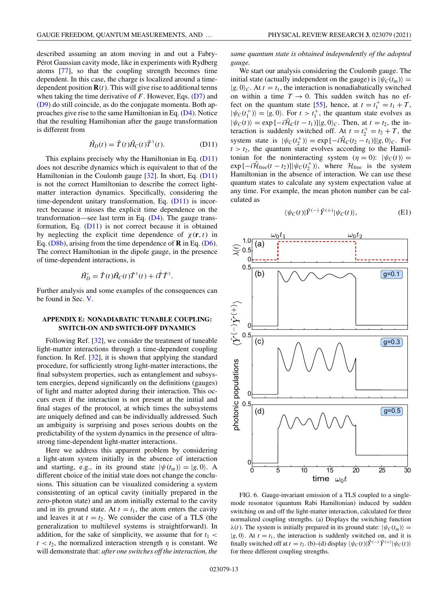<span id="page-12-0"></span>described assuming an atom moving in and out a Fabry-Pérot Gaussian cavity mode, like in experiments with Rydberg atoms [\[77\]](#page-15-0), so that the coupling strength becomes time dependent. In this case, the charge is localized around a timedependent position  $\mathbf{R}(t)$ . This will give rise to additional terms when taking the time derivative of *F*. However, Eqs. [\(D7\)](#page-11-0) and [\(D9\)](#page-11-0) do still coincide, as do the conjugate momenta. Both approaches give rise to the same Hamiltonian in Eq. [\(D4\)](#page-11-0). Notice that the resulting Hamiltonian after the gauge transformation is different from

$$
\hat{H}_D(t) = \hat{T}(t)\hat{H}_C(t)\hat{T}^\dagger(t). \tag{D11}
$$

This explains precisely why the Hamiltonian in Eq. (D11) does not describe dynamics which is equivalent to that of the Hamiltonian in the Coulomb gauge [\[32\]](#page-14-0). In short, Eq. (D11) is not the correct Hamiltonian to describe the correct lightmatter interaction dynamics. Specifically, considering the time-dependent unitary transformation, Eq. (D11) is incorrect because it misses the explicit time dependence on the transformation—see last term in Eq.  $(D4)$ . The gauge transformation, Eq.  $(D11)$  is not correct because it is obtained by neglecting the explicit time dependence of  $\chi(\mathbf{r},t)$  in Eq. [\(D8b\)](#page-11-0), arising from the time dependence of **R** in Eq. [\(D6\)](#page-11-0). The correct Hamiltonian in the dipole gauge, in the presence of time-dependent interactions, is

$$
\hat{H}'_D = \hat{T}(t)\hat{H}_C(t)\hat{T}^{\dagger}(t) + i\dot{\hat{T}}\hat{T}^{\dagger}.
$$

Further analysis and some examples of the consequences can be found in Sec. [V.](#page-6-0)

### **APPENDIX E: NONADIABATIC TUNABLE COUPLING: SWITCH-ON AND SWITCH-OFF DYNAMICS**

Following Ref. [\[32\]](#page-14-0), we consider the treatment of tuneable light-matter interactions through a time-dependent coupling function. In Ref. [\[32\]](#page-14-0), it is shown that applying the standard procedure, for sufficiently strong light-matter interactions, the final subsystem properties, such as entanglement and subsystem energies, depend significantly on the definitions (gauges) of light and matter adopted during their interaction. This occurs even if the interaction is not present at the initial and final stages of the protocol, at which times the subsystems are uniquely defined and can be individually addressed. Such an ambiguity is surprising and poses serious doubts on the predictability of the system dynamics in the presence of ultrastrong time-dependent light-matter interactions.

Here we address this apparent problem by considering a light-atom system initially in the absence of interaction and starting, e.g., in its ground state  $|\psi(t_{\text{in}})\rangle = |g, 0\rangle$ . A different choice of the initial state does not change the conclusions. This situation can be visualized considering a system consistenting of an optical cavity (initially prepared in the zero-photon state) and an atom initially external to the cavity and in its ground state. At  $t = t_1$ , the atom enters the cavity and leaves it at  $t = t_2$ . We consider the case of a TLS (the generalization to multilevel systems is straightforward). In addition, for the sake of simplicity, we assume that for  $t_1$  <  $t < t_2$ , the normalized interaction strength  $\eta$  is constant. We will demonstrate that: *after one switches off the interaction, the*

*same quantum state is obtained independently of the adopted gauge.*

We start our analysis considering the Coulomb gauge. The initial state (actually independent on the gauge) is  $|\psi_C(t_{\text{in}})\rangle$  =  $|g, 0\rangle_c$ . At  $t = t_1$ , the interaction is nonadiabatically switched on within a time  $T \rightarrow 0$ . This sudden switch has no ef-fect on the quantum state [\[55\]](#page-14-0), hence, at  $t = t_1^+ = t_1 + T$ ,  $|\psi_C(t_1^+) \rangle = |g, 0 \rangle$ . For  $t > t_1^+$ , the quantum state evolves as  $|\psi_C(t)\rangle = \exp[-i\hat{\mathcal{H}}_C(t - t_1)]|g, 0\rangle_C$ . Then, at  $t = t_2$ , the interaction is suddenly switched off. At  $t = t_2^+ = t_2 + T$ , the system state is  $|\psi_C(t_2^{\dagger})\rangle = \exp[-i\hat{\mathcal{H}}_C(t_2 - t_1)]|g, 0\rangle_C$ . For  $t > t_2$ , the quantum state evolves according to the Hamiltonian for the noninteracting system  $(\eta = 0)$ :  $|\psi_C(t)\rangle =$  $\exp \left[-i\hat{\mathcal{H}}_{\text{free}}(t - t_2)\right] |\psi_C(t_2^{\perp})\rangle$ , where  $\mathcal{H}_{\text{free}}$  is the system Hamiltonian in the absence of interaction. We can use these quantum states to calculate any system expectation value at any time. For example, the mean photon number can be calculated as

$$
\langle \psi_C(t) | \hat{Y}^{(-)} \hat{Y}^{(+)} | \psi_C(t) \rangle, \tag{E1}
$$



FIG. 6. Gauge-invariant emission of a TLS coupled to a singlemode resonator (quantum Rabi Hamiltonian) induced by sudden switching on and off the light-matter interaction, calculated for three normalized coupling strengths. (a) Displays the switching function  $\lambda(t)$ . The system is initially prepared in its ground state:  $|\psi_C(t_{\text{in}})\rangle$  =  $|g, 0\rangle$ . At  $t = t_1$ , the interaction is suddenly switched on, and it is finally switched off at  $t = t_2$ . (b)–(d) display  $\langle \psi_C(t) | \hat{Y}^{(-)} \hat{Y}^{(+)} | \psi_C(t) \rangle$ for three different coupling strengths.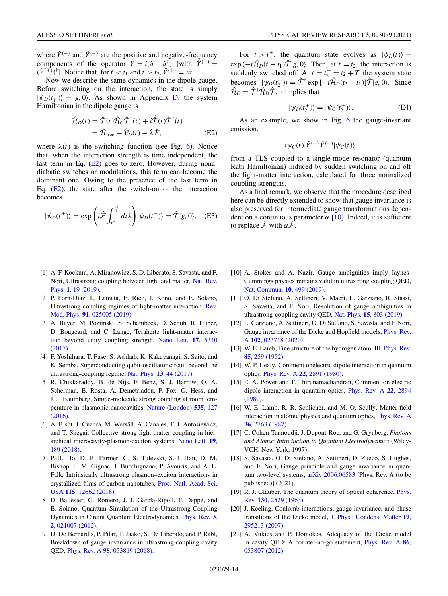<span id="page-13-0"></span>where  $\hat{Y}^{(+)}$  and  $\hat{Y}^{(-)}$  are the positive and negative-frequency components of the operator  $\hat{Y} = i(\hat{a} - \hat{a}^{\dagger})$  [with  $\hat{Y}^{(-)} =$  $(\hat{Y}^{(+)} )^{\dagger}$ ]. Notice that, for  $t < t_1$  and  $t > t_2$ ,  $\hat{Y}^{(+)} = i\hat{a}$ .

Now we describe the same dynamics in the dipole gauge. Before switching on the interaction, the state is simply  $|\psi_D(t_1^-)\rangle = |g, 0\rangle$ . As shown in Appendix [D,](#page-11-0) the system Hamiltonian in the dipole gauge is

$$
\hat{\mathcal{H}}_D(t) = \hat{\mathcal{T}}(t)\hat{\mathcal{H}}_C\hat{\mathcal{T}}^{\dagger}(t) + i\dot{\hat{\mathcal{T}}}(t)\hat{\mathcal{T}}^{\dagger}(t) \n= \hat{\mathcal{H}}_{\text{free}} + \hat{\mathcal{V}}_D(t) - \dot{\lambda}\hat{\mathcal{F}},
$$
\n(E2)

where  $\lambda(t)$  is the switching function (see Fig. [6\)](#page-12-0). Notice that, when the interaction strength is time independent, the last term in Eq. (E2) goes to zero. However, during nonadiabatic switches or modulations, this term can become the dominant one. Owing to the presence of the last term in Eq.  $(E2)$ , the state after the switch-on of the interaction becomes

$$
|\psi_D(t_1^+) \rangle = \exp\left(i\hat{\mathcal{F}} \int_{t_1^-}^{t_1^+} dt \dot{\lambda} \right) |\psi_D(t_1^-) \rangle = \hat{\mathcal{T}} |g, 0 \rangle. \quad (E3)
$$

- [1] A. F. Kockum, A. Miranowicz, S. D. Liberato, S. Savasta, and F. [Nori, Ultrastrong coupling between light and matter,](https://doi.org/10.1038/s42254-018-0006-2) Nat. Rev. Phys. **1**, 19 (2019).
- [2] P. Forn-Díaz, L. Lamata, E. Rico, J. Kono, and E. Solano, [Ultrastrong coupling regimes of light-matter interaction,](https://doi.org/10.1103/RevModPhys.91.025005) Rev. Mod. Phys. **91**, 025005 (2019).
- [3] A. Bayer, M. Pozimski, S. Schambeck, D. Schuh, R. Huber, D. Bougeard, and C. Lange, Terahertz light-matter interac[tion beyond unity coupling strength,](https://doi.org/10.1021/acs.nanolett.7b03103) Nano Lett. **17**, 6340 (2017).
- [4] F. Yoshihara, T. Fuse, S. Ashhab, K. Kakuyanagi, S. Saito, and K. Semba, Superconducting qubit-oscillator circuit beyond the ultrastrong-coupling regime, Nat. Phys. **13**[, 44 \(2017\).](https://doi.org/10.1038/nphys3906)
- [5] R. Chikkaraddy, B. de Nijs, F. Benz, S. J. Barrow, O. A. Scherman, E. Rosta, A. Demetriadou, P. Fox, O. Hess, and J. J. Baumberg, Single-molecule strong coupling at room tem[perature in plasmonic nanocavities,](https://doi.org/10.1038/nature17974) Nature (London) **535**, 127 (2016).
- [6] A. Bisht, J. Cuadra, M. Wersäll, A. Canales, T. J. Antosiewicz, and T. Shegai, Collective strong light-matter coupling in hier[archical microcavity-plasmon-exciton systems,](https://doi.org/10.1021/acs.nanolett.8b03639) Nano Lett. **19**, 189 (2018).
- [7] P.-H. Ho, D. B. Farmer, G. S. Tulevski, S.-J. Han, D. M. Bishop, L. M. Gignac, J. Bucchignano, P. Avouris, and A. L. Falk, Intrinsically ultrastrong plasmon–exciton interactions in [crystallized films of carbon nanotubes,](https://doi.org/10.1073/pnas.1816251115) Proc. Natl. Acad. Sci. USA **115**, 12662 (2018).
- [8] D. Ballester, G. Romero, J. J. García-Ripoll, F. Deppe, and E. Solano, Quantum Simulation of the Ultrastrong-Coupling [Dynamics in Circuit Quantum Electrodynamics,](https://doi.org/10.1103/PhysRevX.2.021007) Phys. Rev. X **2**, 021007 (2012).
- [9] D. De Bernardis, P. Pilar, T. Jaako, S. De Liberato, and P. Rabl, Breakdown of gauge invariance in ultrastrong-coupling cavity QED, Phys. Rev. A **98**[, 053819 \(2018\).](https://doi.org/10.1103/PhysRevA.98.053819)

For  $t > t_1^+$ , the quantum state evolves as  $|\psi_D(t)\rangle =$ exp  $(-i\hat{\mathcal{H}}_D(t - t_1)\hat{\mathcal{T}}|g, 0)$ . Then, at *t* = *t*<sub>2</sub>, the interaction is suddenly switched off. At  $t = t_2^+ = t_2 + T$  the system state becomes  $|\psi_D(t_2^{\dagger})\rangle = \hat{\mathcal{T}}^{\dagger} \exp[-i\hat{\mathcal{H}}_D(t_2 - t_1)]\hat{\mathcal{T}}|g, 0\rangle$ . Since  $\hat{\mathcal{H}}_C = \hat{\mathcal{T}}^{\dagger} \hat{\mathcal{H}}_D \hat{\mathcal{T}}$ , it implies that

$$
|\psi_D(t_2^+) \rangle = |\psi_C(t_2^+) \rangle. \tag{E4}
$$

As an example, we show in Fig. [6](#page-12-0) the gauge-invariant emission,

$$
\langle \psi_C(t)|\hat{Y}^{(-)}\hat{Y}^{(+)}|\psi_C(t)\rangle,
$$

from a TLS coupled to a single-mode resonator (quantum Rabi Hamiltonian) induced by sudden switching on and off the light-matter interaction, calculated for three normalized coupling strengths.

As a final remark, we observe that the procedure described here can be directly extended to show that gauge invariance is also preserved for intermediate gauge transformations dependent on a continuous parameter  $\alpha$  [10]. Indeed, it is sufficient to replace  $\hat{\mathcal{F}}$  with  $\alpha \hat{\mathcal{F}}$ .

- [10] A. Stokes and A. Nazir, Gauge ambiguities imply Jaynes-Cummings physics remains valid in ultrastrong coupling QED, [Nat. Commun.](https://doi.org/10.1038/s41467-018-08101-0) **10**, 499 (2019).
- [11] O. Di Stefano, A. Settineri, V. Macrì, L. Garziano, R. Stassi, S. Savasta, and F. Nori, Resolution of gauge ambiguities in ultrastrong-coupling cavity QED, Nat. Phys. **15**[, 803 \(2019\).](https://doi.org/10.1038/s41567-019-0534-4)
- [12] L. Garziano, A. Settineri, O. Di Stefano, S. Savasta, and F. Nori, [Gauge invariance of the Dicke and Hopfield models,](https://doi.org/10.1103/PhysRevA.102.023718) Phys. Rev. A **102**, 023718 (2020).
- [13] [W. E. Lamb, Fine structure of the hydrogen atom. III,](https://doi.org/10.1103/PhysRev.85.259) *Phys. Rev.* **85**, 259 (1952).
- [14] W. P. Healy, Comment onelectric dipole interaction in quantum optics, Phys. Rev. A **22**[, 2891 \(1980\).](https://doi.org/10.1103/PhysRevA.22.2891)
- [15] E. A. Power and T. Thirunamachandran, Comment on electric [dipole interaction in quantum optics,](https://doi.org/10.1103/PhysRevA.22.2894) Phys. Rev. A **22**, 2894 (1980).
- [16] W. E. Lamb, R. R. Schlicher, and M. O. Scully, Matter-field [interaction in atomic physics and quantum optics,](https://doi.org/10.1103/PhysRevA.36.2763) Phys. Rev. A **36**, 2763 (1987).
- [17] C. Cohen-Tannoudji, J. Dupont-Roc, and G. Grynberg, *Photons and Atoms: Introduction to Quantum Electrodynamics* (Wiley-VCH, New York, 1997).
- [18] S. Savasta, O. Di Stefano, A. Settineri, D. Zueco, S. Hughes, and F. Nori, Gauge principle and gauge invariance in quantum two-level systems, [arXiv:2006.06583](http://arxiv.org/abs/arXiv:2006.06583) [Phys. Rev. A (to be published)] (2021).
- [19] [R. J. Glauber, The quantum theory of optical coherence,](https://doi.org/10.1103/PhysRev.130.2529) *Phys.* Rev. **130**, 2529 (1963).
- [20] J. Keeling, Coulomb interactions, gauge invariance, and phase [transitions of the Dicke model,](https://doi.org/10.1088/0953-8984/19/29/295213) J. Phys.: Condens. Matter **19**, 295213 (2007).
- [21] A. Vukics and P. Domokos, Adequacy of the Dicke model [in cavity QED: A counter-no-go statement,](https://doi.org/10.1103/PhysRevA.86.053807) Phys. Rev. A **86**, 053807 (2012).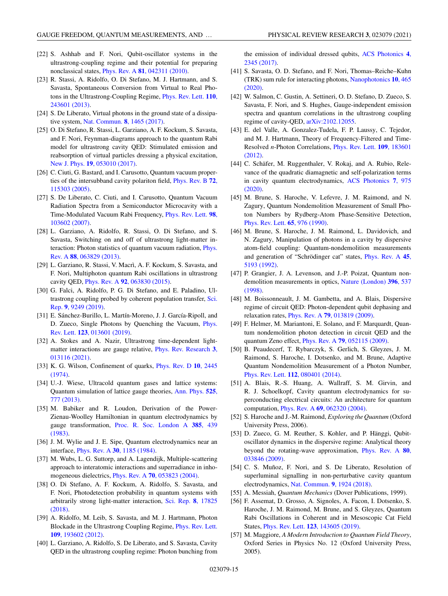- <span id="page-14-0"></span>[22] S. Ashhab and F. Nori, Qubit-oscillator systems in the ultrastrong-coupling regime and their potential for preparing nonclassical states, Phys. Rev. A **81**[, 042311 \(2010\).](https://doi.org/10.1103/PhysRevA.81.042311)
- [23] R. Stassi, A. Ridolfo, O. Di Stefano, M. J. Hartmann, and S. Savasta, Spontaneous Conversion from Virtual to Real Pho[tons in the Ultrastrong-Coupling Regime,](https://doi.org/10.1103/PhysRevLett.110.243601) Phys. Rev. Lett. **110**, 243601 (2013).
- [24] S. De Liberato, Virtual photons in the ground state of a dissipative system, [Nat. Commun.](https://doi.org/10.1038/s41467-017-01504-5) **8**, 1465 (2017).
- [25] O. Di Stefano, R. Stassi, L. Garziano, A. F. Kockum, S. Savasta, and F. Nori, Feynman-diagrams approach to the quantum Rabi model for ultrastrong cavity QED: Stimulated emission and reabsorption of virtual particles dressing a physical excitation, New J. Phys. **19**[, 053010 \(2017\).](https://doi.org/10.1088/1367-2630/aa6cd7)
- [26] C. Ciuti, G. Bastard, and I. Carusotto, Quantum vacuum proper[ties of the intersubband cavity polariton field,](https://doi.org/10.1103/PhysRevB.72.115303) Phys. Rev. B **72**, 115303 (2005).
- [27] S. De Liberato, C. Ciuti, and I. Carusotto, Quantum Vacuum Radiation Spectra from a Semiconductor Microcavity with a [Time-Modulated Vacuum Rabi Frequency,](https://doi.org/10.1103/PhysRevLett.98.103602) Phys. Rev. Lett. **98**, 103602 (2007).
- [28] L. Garziano, A. Ridolfo, R. Stassi, O. Di Stefano, and S. Savasta, Switching on and off of ultrastrong light-matter in[teraction: Photon statistics of quantum vacuum radiation,](https://doi.org/10.1103/PhysRevA.88.063829) Phys. Rev. A **88**, 063829 (2013).
- [29] L. Garziano, R. Stassi, V. Macrì, A. F. Kockum, S. Savasta, and F. Nori, Multiphoton quantum Rabi oscillations in ultrastrong cavity QED, Phys. Rev. A **92**[, 063830 \(2015\).](https://doi.org/10.1103/PhysRevA.92.063830)
- [30] G. Falci, A. Ridolfo, P. G. Di Stefano, and E. Paladino, Ul[trastrong coupling probed by coherent population transfer,](https://doi.org/10.1038/s41598-019-45187-y) Sci. Rep. **9**, 9249 (2019).
- [31] E. Sánchez-Burillo, L. Martín-Moreno, J. J. García-Ripoll, and [D. Zueco, Single Photons by Quenching the Vacuum,](https://doi.org/10.1103/PhysRevLett.123.013601) Phys. Rev. Lett. **123**, 013601 (2019).
- [32] A. Stokes and A. Nazir, Ultrastrong time-dependent light[matter interactions are gauge relative,](https://doi.org/10.1103/PhysRevResearch.3.013116) Phys. Rev. Research **3**, 013116 (2021).
- [33] [K. G. Wilson, Confinement of quarks,](https://doi.org/10.1103/PhysRevD.10.2445) Phys. Rev. D **10**, 2445 (1974).
- [34] U.-J. Wiese, Ultracold quantum gases and lattice systems: [Quantum simulation of lattice gauge theories,](https://doi.org/10.1002/andp.201300104) Ann. Phys. **525**, 777 (2013).
- [35] M. Babiker and R. Loudon, Derivation of the Power-Zienau-Woolley Hamiltonian in quantum electrodynamics by gauge transformation, [Proc. R. Soc. London A](https://doi.org/10.1098/rspa.1983.0022) **385**, 439 (1983).
- [36] J. M. Wylie and J. E. Sipe, Quantum electrodynamics near an interface, Phys. Rev. A **30**[, 1185 \(1984\).](https://doi.org/10.1103/PhysRevA.30.1185)
- [37] M. Wubs, L. G. Suttorp, and A. Lagendijk, Multiple-scattering approach to interatomic interactions and superradiance in inhomogeneous dielectrics, Phys. Rev. A **70**[, 053823 \(2004\).](https://doi.org/10.1103/PhysRevA.70.053823)
- [38] O. Di Stefano, A. F. Kockum, A. Ridolfo, S. Savasta, and F. Nori, Photodetection probability in quantum systems with [arbitrarily strong light-matter interaction,](https://doi.org/10.1038/s41598-018-36056-1) Sci. Rep. **8**, 17825 (2018).
- [39] A. Ridolfo, M. Leib, S. Savasta, and M. J. Hartmann, Photon [Blockade in the Ultrastrong Coupling Regime,](https://doi.org/10.1103/PhysRevLett.109.193602) Phys. Rev. Lett. **109**, 193602 (2012).
- [40] L. Garziano, A. Ridolfo, S. De Liberato, and S. Savasta, Cavity QED in the ultrastrong coupling regime: Photon bunching from

[the emission of individual dressed qubits,](https://doi.org/10.1021/acsphotonics.7b00635) ACS Photonics **4**, 2345 (2017).

- [41] S. Savasta, O. D. Stefano, and F. Nori, Thomas–Reiche–Kuhn [\(TRK\) sum rule for interacting photons,](https://doi.org/10.1515/nanoph-2020-0433) Nanophotonics **10**, 465 (2020).
- [42] W. Salmon, C. Gustin, A. Settineri, O. D. Stefano, D. Zueco, S. Savasta, F. Nori, and S. Hughes, Gauge-independent emission spectra and quantum correlations in the ultrastrong coupling regime of cavity-QED, [arXiv:2102.12055.](http://arxiv.org/abs/arXiv:2102.12055)
- [43] E. del Valle, A. Gonzalez-Tudela, F. P. Laussy, C. Tejedor, and M. J. Hartmann, Theory of Frequency-Filtered and Time-Resolved *n*[-Photon Correlations,](https://doi.org/10.1103/PhysRevLett.109.183601) Phys. Rev. Lett. **109**, 183601 (2012).
- [44] C. Schäfer, M. Ruggenthaler, V. Rokaj, and A. Rubio, Relevance of the quadratic diamagnetic and self-polarization terms [in cavity quantum electrodynamics,](https://doi.org/10.1021/acsphotonics.9b01649) ACS Photonics **7**, 975 (2020).
- [45] M. Brune, S. Haroche, V. Lefevre, J. M. Raimond, and N. Zagury, Quantum Nondemolition Measurement of Small Photon Numbers by Rydberg-Atom Phase-Sensitive Detection, [Phys. Rev. Lett.](https://doi.org/10.1103/PhysRevLett.65.976) **65**, 976 (1990).
- [46] M. Brune, S. Haroche, J. M. Raimond, L. Davidovich, and N. Zagury, Manipulation of photons in a cavity by dispersive atom-field coupling: Quantum-nondemolition measurements [and generation of "Schrödinger cat" states,](https://doi.org/10.1103/PhysRevA.45.5193) Phys. Rev. A **45**, 5193 (1992).
- [47] P. Grangier, J. A. Levenson, and J.-P. Poizat, Quantum non[demolition measurements in optics,](https://doi.org/10.1038/25059) Nature (London) **396**, 537 (1998).
- [48] M. Boissonneault, J. M. Gambetta, and A. Blais, Dispersive regime of circuit QED: Photon-dependent qubit dephasing and relaxation rates, Phys. Rev. A **79**[, 013819 \(2009\).](https://doi.org/10.1103/PhysRevA.79.013819)
- [49] F. Helmer, M. Mariantoni, E. Solano, and F. Marquardt, Quantum nondemolition photon detection in circuit QED and the quantum Zeno effect, Phys. Rev. A **79**[, 052115 \(2009\).](https://doi.org/10.1103/PhysRevA.79.052115)
- [50] B. Peaudecerf, T. Rybarczyk, S. Gerlich, S. Gleyzes, J. M. Raimond, S. Haroche, I. Dotsenko, and M. Brune, Adaptive Quantum Nondemolition Measurement of a Photon Number, Phys. Rev. Lett. **112**[, 080401 \(2014\).](https://doi.org/10.1103/PhysRevLett.112.080401)
- [51] A. Blais, R.-S. Huang, A. Wallraff, S. M. Girvin, and R. J. Schoelkopf, Cavity quantum electrodynamics for superconducting electrical circuits: An architecture for quantum computation, Phys. Rev. A **69**[, 062320 \(2004\).](https://doi.org/10.1103/PhysRevA.69.062320)
- [52] S. Haroche and J.-M. Raimond, *Exploring the Quantum* (Oxford University Press, 2006).
- [53] D. Zueco, G. M. Reuther, S. Kohler, and P. Hänggi, Qubitoscillator dynamics in the dispersive regime: Analytical theory [beyond the rotating-wave approximation,](https://doi.org/10.1103/PhysRevA.80.033846) Phys. Rev. A **80**, 033846 (2009).
- [54] C. S. Muñoz, F. Nori, and S. De Liberato, Resolution of superluminal signalling in non-perturbative cavity quantum electrodynamics, [Nat. Commun.](https://doi.org/10.1038/s41467-018-04339-w) **9**, 1924 (2018).
- [55] A. Messiah, *Quantum Mechanics* (Dover Publications, 1999).
- [56] F. Assemat, D. Grosso, A. Signoles, A. Facon, I. Dotsenko, S. Haroche, J. M. Raimond, M. Brune, and S. Gleyzes, Quantum Rabi Oscillations in Coherent and in Mesoscopic Cat Field States, Phys. Rev. Lett. **123**[, 143605 \(2019\).](https://doi.org/10.1103/PhysRevLett.123.143605)
- [57] M. Maggiore, *A Modern Introduction to Quantum Field Theory*, Oxford Series in Physics No. 12 (Oxford University Press, 2005).